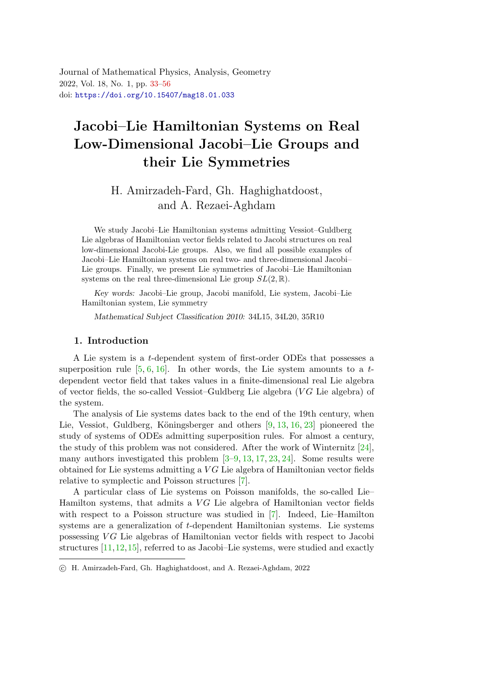<span id="page-0-0"></span>Journal of Mathematical Physics, Analysis, Geometry 2022, Vol. 18, No. 1, pp. [33](#page-0-0)[–56](#page-23-0) doi: <https://doi.org/10.15407/mag18.01.033>

# Jacobi–Lie Hamiltonian Systems on Real Low-Dimensional Jacobi–Lie Groups and their Lie Symmetrie[s](#page-0-1)

## H. Amirzadeh-Fard, Gh. Haghighatdoost, and A. Rezaei-Aghdam

We study Jacobi–Lie Hamiltonian systems admitting Vessiot–Guldberg Lie algebras of Hamiltonian vector fields related to Jacobi structures on real low-dimensional Jacobi-Lie groups. Also, we find all possible examples of Jacobi–Lie Hamiltonian systems on real two- and three-dimensional Jacobi– Lie groups. Finally, we present Lie symmetries of Jacobi–Lie Hamiltonian systems on the real three-dimensional Lie group  $SL(2,\mathbb{R})$ .

Key words: Jacobi–Lie group, Jacobi manifold, Lie system, Jacobi–Lie Hamiltonian system, Lie symmetry

Mathematical Subject Classification 2010: 34L15, 34L20, 35R10

### 1. Introduction

A Lie system is a t-dependent system of first-order ODEs that possesses a superposition rule  $[5, 6, 16]$  $[5, 6, 16]$  $[5, 6, 16]$  $[5, 6, 16]$ . In other words, the Lie system amounts to a tdependent vector field that takes values in a finite-dimensional real Lie algebra of vector fields, the so-called Vessiot–Guldberg Lie algebra  $(VG)$  Lie algebra) of the system.

The analysis of Lie systems dates back to the end of the 19th century, when Lie, Vessiot, Guldberg, Köningsberger and others  $[9, 13, 16, 23]$  $[9, 13, 16, 23]$  $[9, 13, 16, 23]$  $[9, 13, 16, 23]$  $[9, 13, 16, 23]$  $[9, 13, 16, 23]$  pioneered the study of systems of ODEs admitting superposition rules. For almost a century, the study of this problem was not considered. After the work of Winternitz [\[24\]](#page-22-3), many authors investigated this problem [\[3–](#page-21-3)[9,](#page-21-2) [13,](#page-22-1) [17,](#page-22-4) [23,](#page-22-2) [24\]](#page-22-3). Some results were obtained for Lie systems admitting a VG Lie algebra of Hamiltonian vector fields relative to symplectic and Poisson structures [\[7\]](#page-21-4).

A particular class of Lie systems on Poisson manifolds, the so-called Lie– Hamilton systems, that admits a  $VG$  Lie algebra of Hamiltonian vector fields with respect to a Poisson structure was studied in [\[7\]](#page-21-4). Indeed, Lie–Hamilton systems are a generalization of t-dependent Hamiltonian systems. Lie systems possessing  $VG$  Lie algebras of Hamiltonian vector fields with respect to Jacobi structures [\[11,](#page-22-5)[12,](#page-22-6)[15\]](#page-22-7), referred to as Jacobi–Lie systems, were studied and exactly

<span id="page-0-1"></span>c H. Amirzadeh-Fard, Gh. Haghighatdoost, and A. Rezaei-Aghdam, 2022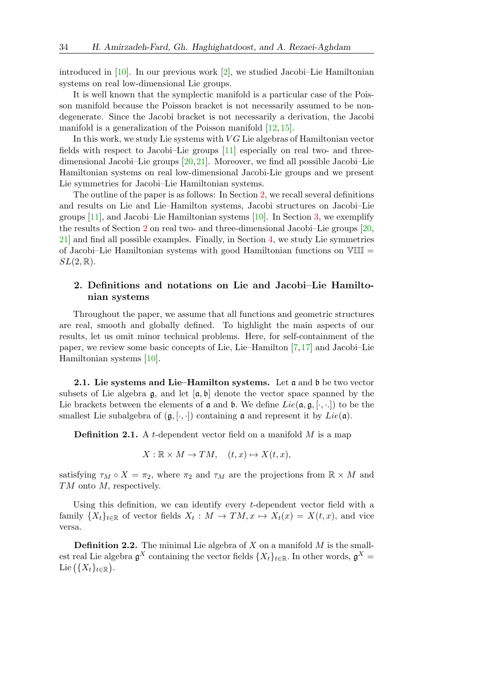introduced in [\[10\]](#page-21-5). In our previous work [\[2\]](#page-21-6), we studied Jacobi–Lie Hamiltonian systems on real low-dimensional Lie groups.

It is well known that the symplectic manifold is a particular case of the Poisson manifold because the Poisson bracket is not necessarily assumed to be nondegenerate. Since the Jacobi bracket is not necessarily a derivation, the Jacobi manifold is a generalization of the Poisson manifold [\[12,](#page-22-6) [15\]](#page-22-7).

In this work, we study Lie systems with  $VG$  Lie algebras of Hamiltonian vector fields with respect to Jacobi–Lie groups [\[11\]](#page-22-5) especially on real two- and threedimensional Jacobi–Lie groups [\[20,](#page-22-8)[21\]](#page-22-9). Moreover, we find all possible Jacobi–Lie Hamiltonian systems on real low-dimensional Jacobi-Lie groups and we present Lie symmetries for Jacobi–Lie Hamiltonian systems.

The outline of the paper is as follows: In Section [2,](#page-1-0) we recall several definitions and results on Lie and Lie–Hamilton systems, Jacobi structures on Jacobi–Lie groups [\[11\]](#page-22-5), and Jacobi–Lie Hamiltonian systems [\[10\]](#page-21-5). In Section [3,](#page-6-0) we exemplify the results of Section [2](#page-1-0) on real two- and three-dimensional Jacobi–Lie groups [\[20,](#page-22-8) [21\]](#page-22-9) and find all possible examples. Finally, in Section [4,](#page-13-0) we study Lie symmetries of Jacobi–Lie Hamiltonian systems with good Hamiltonian functions on  $VIII$  =  $SL(2,\mathbb{R}).$ 

## <span id="page-1-0"></span>2. Definitions and notations on Lie and Jacobi–Lie Hamiltonian systems

Throughout the paper, we assume that all functions and geometric structures are real, smooth and globally defined. To highlight the main aspects of our results, let us omit minor technical problems. Here, for self-containment of the paper, we review some basic concepts of Lie, Lie–Hamilton [\[7,](#page-21-4)[17\]](#page-22-4) and Jacobi–Lie Hamiltonian systems [\[10\]](#page-21-5).

**2.1.** Lie systems and Lie–Hamilton systems. Let  $\mathfrak{a}$  and  $\mathfrak{b}$  be two vector subsets of Lie algebra  $\mathfrak{g}$ , and let  $[\mathfrak{a}, \mathfrak{b}]$  denote the vector space spanned by the Lie brackets between the elements of  $\mathfrak a$  and  $\mathfrak b$ . We define  $Lie(\mathfrak a, \mathfrak g, [\cdot, \cdot, \cdot])$  to be the smallest Lie subalgebra of  $(\mathfrak{g}, [\cdot, \cdot])$  containing  $\mathfrak{a}$  and represent it by  $Lie(\mathfrak{a})$ .

**Definition 2.1.** A t-dependent vector field on a manifold  $M$  is a map

 $X: \mathbb{R} \times M \to TM, \quad (t, x) \mapsto X(t, x),$ 

satisfying  $\tau_M \circ X = \tau_2$ , where  $\tau_2$  and  $\tau_M$  are the projections from  $\mathbb{R} \times M$  and TM onto M, respectively.

Using this definition, we can identify every t-dependent vector field with a family  $\{X_t\}_{t\in\mathbb{R}}$  of vector fields  $X_t: M \to TM, x \mapsto X_t(x) = X(t, x)$ , and vice versa.

**Definition 2.2.** The minimal Lie algebra of  $X$  on a manifold  $M$  is the smallest real Lie algebra  $\mathfrak{g}^X$  containing the vector fields  $\{X_t\}_{t\in\mathbb{R}}$ . In other words,  $\mathfrak{g}^X$  = Lie  $(\{X_t\}_{t\in\mathbb{R}})$ .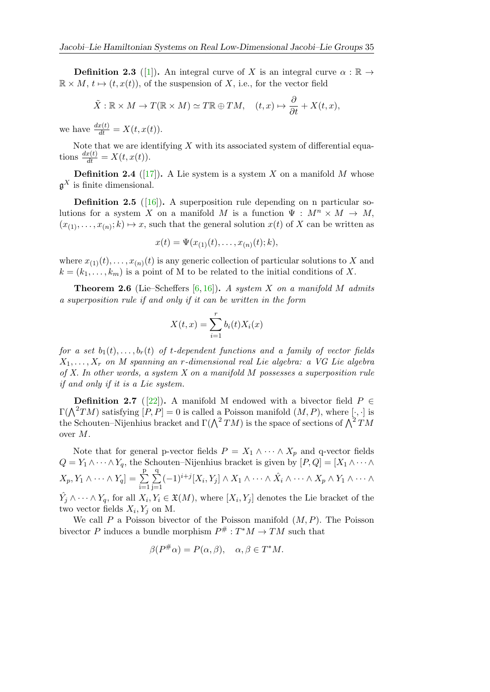**Definition 2.3** ([\[1\]](#page-21-7)). An integral curve of X is an integral curve  $\alpha : \mathbb{R} \to$  $\mathbb{R} \times M$ ,  $t \mapsto (t, x(t))$ , of the suspension of X, i.e., for the vector field

$$
\tilde{X}: \mathbb{R} \times M \to T(\mathbb{R} \times M) \simeq T\mathbb{R} \oplus TM, \quad (t, x) \mapsto \frac{\partial}{\partial t} + X(t, x),
$$

we have  $\frac{dx(t)}{dt} = X(t, x(t)).$ 

Note that we are identifying  $X$  with its associated system of differential equations  $\frac{dx(t)}{dt} = X(t, x(t)).$ 

**Definition 2.4** ([\[17\]](#page-22-4)). A Lie system is a system X on a manifold M whose  $\mathfrak{g}^X$  is finite dimensional.

**Definition 2.5** ( $[16]$ ). A superposition rule depending on n particular solutions for a system X on a manifold M is a function  $\Psi : M^n \times M \to M$ ,  $(x_{(1)},...,x_{(n)};k) \mapsto x$ , such that the general solution  $x(t)$  of X can be written as

$$
x(t) = \Psi(x_{(1)}(t), \dots, x_{(n)}(t); k),
$$

where  $x_{(1)}(t), \ldots, x_{(n)}(t)$  is any generic collection of particular solutions to X and  $k = (k_1, \ldots, k_m)$  is a point of M to be related to the initial conditions of X.

**Theorem 2.6** (Lie–Scheffers [\[6,](#page-21-1) [16\]](#page-22-0)). A system X on a manifold M admits a superposition rule if and only if it can be written in the form

$$
X(t,x) = \sum_{i=1}^{r} b_i(t) X_i(x)
$$

for a set  $b_1(t), \ldots, b_r(t)$  of t-dependent functions and a family of vector fields  $X_1, \ldots, X_r$  on M spanning an r-dimensional real Lie algebra: a VG Lie algebra of X. In other words, a system  $X$  on a manifold  $M$  possesses a superposition rule if and only if it is a Lie system.

**Definition 2.7** ([\[22\]](#page-22-10)). A manifold M endowed with a bivector field  $P \in$  $\Gamma(\bigwedge^2 TM)$  satisfying  $[P, P] = 0$  is called a Poisson manifold  $(M, P)$ , where  $[\cdot, \cdot]$  is the Schouten–Nijenhius bracket and  $\Gamma(\bigwedge^2 TM)$  is the space of sections of  $\bigwedge^2 TM$ over M.

Note that for general p-vector fields  $P = X_1 \wedge \cdots \wedge X_p$  and q-vector fields  $Q = Y_1 \wedge \cdots \wedge Y_q$ , the Schouten–Nijenhius bracket is given by  $[P,Q] = [X_1 \wedge \cdots \wedge Y_q]$  $X_p, Y_1 \wedge \cdots \wedge Y_q] = \sum$ p  $i=1$  $\sum$ q  $j=1$  $(-1)^{i+j}[X_i,Y_j] \wedge X_1 \wedge \cdots \wedge \hat{X_i} \wedge \cdots \wedge X_p \wedge Y_1 \wedge \cdots \wedge$  $\hat{Y}_j \wedge \cdots \wedge Y_q$ , for all  $X_i, Y_i \in \mathfrak{X}(M)$ , where  $[X_i, Y_j]$  denotes the Lie bracket of the two vector fields  $X_i, Y_j$  on M.

We call  $P$  a Poisson bivector of the Poisson manifold  $(M, P)$ . The Poisson bivector P induces a bundle morphism  $P^{\#}: T^{*}M \to TM$  such that

$$
\beta(P^{\#}\alpha) = P(\alpha, \beta), \quad \alpha, \beta \in T^*M.
$$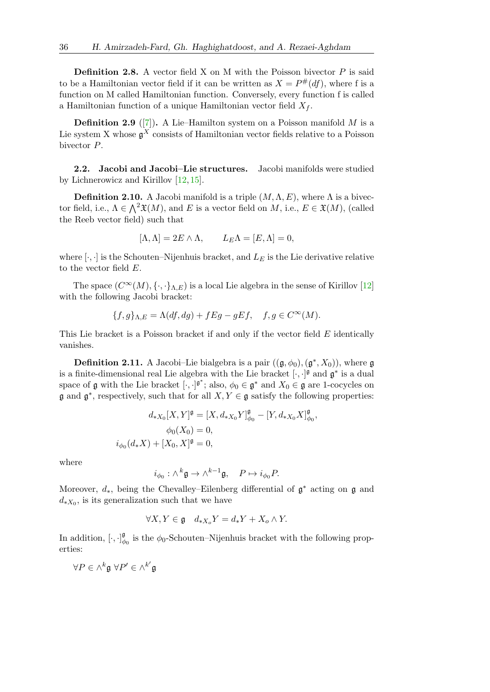**Definition 2.8.** A vector field X on M with the Poisson bivector  $P$  is said to be a Hamiltonian vector field if it can be written as  $X = P^{\#}(df)$ , where f is a function on M called Hamiltonian function. Conversely, every function f is called a Hamiltonian function of a unique Hamiltonian vector field  $X_f$ .

**Definition 2.9** ([\[7\]](#page-21-4)). A Lie–Hamilton system on a Poisson manifold  $M$  is a Lie system X whose  $\mathfrak{g}^X$  consists of Hamiltonian vector fields relative to a Poisson bivector P.

2.2. Jacobi and Jacobi–Lie structures. Jacobi manifolds were studied by Lichnerowicz and Kirillov [\[12,](#page-22-6) [15\]](#page-22-7).

**Definition 2.10.** A Jacobi manifold is a triple  $(M, \Lambda, E)$ , where  $\Lambda$  is a bivector field, i.e.,  $\Lambda \in \bigwedge^2 \mathfrak{X}(M)$ , and E is a vector field on M, i.e.,  $E \in \mathfrak{X}(M)$ , (called the Reeb vector field) such that

$$
[\Lambda, \Lambda] = 2E \wedge \Lambda, \qquad L_E \Lambda = [E, \Lambda] = 0,
$$

where  $[\cdot,\cdot]$  is the Schouten–Nijenhuis bracket, and  $L_E$  is the Lie derivative relative to the vector field E.

The space  $(C^{\infty}(M), \{\cdot,\cdot\}_{\Lambda,E})$  is a local Lie algebra in the sense of Kirillov [\[12\]](#page-22-6) with the following Jacobi bracket:

$$
\{f,g\}_{\Lambda,E} = \Lambda(df,dg) + fEg - gEf, \quad f,g \in C^{\infty}(M).
$$

This Lie bracket is a Poisson bracket if and only if the vector field  $E$  identically vanishes.

**Definition 2.11.** A Jacobi–Lie bialgebra is a pair  $((\mathfrak{g}, \phi_0), (\mathfrak{g}^*, X_0))$ , where  $\mathfrak{g}$ is a finite-dimensional real Lie algebra with the Lie bracket  $[\cdot, \cdot]$ <sup>*s*</sup> and  $\mathfrak{g}^*$  is a dual space of g with the Lie bracket  $[\cdot, \cdot]^{g^*}$ ; also,  $\phi_0 \in g^*$  and  $X_0 \in g$  are 1-cocycles on  $\mathfrak g$  and  $\mathfrak g^*$ , respectively, such that for all  $X, Y \in \mathfrak g$  satisfy the following properties:

$$
d_{*X_0}[X,Y]^{\mathfrak{g}} = [X, d_{*X_0}Y]_{\phi_0}^{\mathfrak{g}} - [Y, d_{*X_0}X]_{\phi_0}^{\mathfrak{g}},
$$
  

$$
\phi_0(X_0) = 0,
$$
  

$$
\phi_0(d_*X) + [X_0, X]^{\mathfrak{g}} = 0,
$$

where

$$
i_{\phi_0}: \wedge^k \mathfrak{g} \to \wedge^{k-1} \mathfrak{g}, \quad P \mapsto i_{\phi_0} P.
$$

Moreover,  $d_*$ , being the Chevalley–Eilenberg differential of  $\mathfrak{g}^*$  acting on  $\mathfrak{g}$  and  $d_{*X_0}$ , is its generalization such that we have

$$
\forall X, Y \in \mathfrak{g} \quad d_{*X_o} Y = d_* Y + X_o \wedge Y.
$$

In addition,  $[\cdot, \cdot]_{d}^{\mathfrak{g}}$  $\phi_{\phi}$  is the  $\phi_0$ -Schouten–Nijenhuis bracket with the following properties:

 $\forall P \in \wedge^k \mathfrak{g} \; \forall P' \in \wedge^{k'} \mathfrak{g}$ 

 $\dot{i}$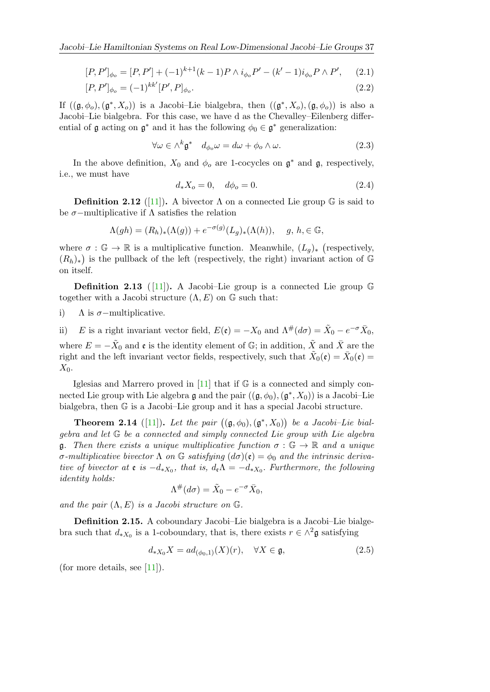$$
[P, P']_{\phi_o} = [P, P'] + (-1)^{k+1} (k-1) P \wedge i_{\phi_o} P' - (k'-1) i_{\phi_o} P \wedge P', \quad (2.1)
$$

$$
[P, P']_{\phi_o} = (-1)^{kk'} [P', P]_{\phi_o}.
$$
\n(2.2)

If  $((\mathfrak{g},\phi_o),(\mathfrak{g}^*,X_o))$  is a Jacobi–Lie bialgebra, then  $((\mathfrak{g}^*,X_o),(\mathfrak{g},\phi_o))$  is also a Jacobi–Lie bialgebra. For this case, we have d as the Chevalley–Eilenberg differential of  $\mathfrak g$  acting on  $\mathfrak g^*$  and it has the following  $\phi_0 \in \mathfrak g^*$  generalization:

$$
\forall \omega \in \wedge^k \mathfrak{g}^* \quad d_{\phi_o} \omega = d\omega + \phi_o \wedge \omega. \tag{2.3}
$$

In the above definition,  $X_0$  and  $\phi_o$  are 1-cocycles on  $\mathfrak{g}^*$  and  $\mathfrak{g}$ , respectively, i.e., we must have

$$
d_* X_o = 0, \quad d\phi_o = 0. \tag{2.4}
$$

**Definition 2.12** ([\[11\]](#page-22-5)). A bivector  $\Lambda$  on a connected Lie group  $\mathbb{G}$  is said to be  $\sigma$ −multiplicative if  $\Lambda$  satisfies the relation

$$
\Lambda(gh) = (R_h)_*(\Lambda(g)) + e^{-\sigma(g)}(L_g)_*(\Lambda(h)), \quad g, h, \in \mathbb{G},
$$

where  $\sigma : \mathbb{G} \to \mathbb{R}$  is a multiplicative function. Meanwhile,  $(L_g)_*$  (respectively,  $(R_h)_*$ ) is the pullback of the left (respectively, the right) invariant action of G on itself.

**Definition 2.13** ([11]). A Jacobi–Lie group is a connected Lie group  $\mathbb{G}$ together with a Jacobi structure  $(\Lambda, E)$  on  $\mathbb G$  such that:

i)  $\Lambda$  is  $\sigma$ -multiplicative.

ii) E is a right invariant vector field,  $E(\mathfrak{e}) = -X_0$  and  $\Lambda^{\#}(d\sigma) = \tilde{X}_0 - e^{-\sigma} \bar{X}_0$ , where  $E = -\tilde{X}_0$  and  $\mathfrak{e}$  is the identity element of  $\mathbb{G}$ ; in addition,  $\tilde{X}$  and  $\bar{X}$  are the right and the left invariant vector fields, respectively, such that  $\tilde{X}_0(\mathfrak{e}) = \bar{X}_0(\mathfrak{e}) =$  $X_0$ .

Iglesias and Marrero proved in [\[11\]](#page-22-5) that if G is a connected and simply connected Lie group with Lie algebra  $\mathfrak g$  and the pair  $((\mathfrak g, \phi_0),(\mathfrak g^*,X_0))$  is a Jacobi–Lie bialgebra, then G is a Jacobi–Lie group and it has a special Jacobi structure.

**Theorem 2.14** ([\[11\]](#page-22-5)). Let the pair  $((\mathfrak{g}, \phi_0), (\mathfrak{g}^*, X_0))$  be a Jacobi-Lie bialgebra and let G be a connected and simply connected Lie group with Lie algebra q. Then there exists a unique multiplicative function  $\sigma : \mathbb{G} \to \mathbb{R}$  and a unique σ-multiplicative bivector Λ on G satisfying  $(d\sigma)(\mathfrak{e}) = \phi_0$  and the intrinsic derivative of bivector at  $\varepsilon$  is  $-d_{*X_0}$ , that is,  $d_{\varepsilon} \Lambda = -d_{*X_0}$ . Furthermore, the following identity holds:

$$
\Lambda^{\#}(d\sigma) = \tilde{X}_0 - e^{-\sigma} \bar{X}_0,
$$

and the pair  $(\Lambda, E)$  is a Jacobi structure on  $\mathbb{G}$ .

Definition 2.15. A coboundary Jacobi–Lie bialgebra is a Jacobi–Lie bialgebra such that  $d_{*X_0}$  is a 1-coboundary, that is, there exists  $r \in \wedge^2 \mathfrak{g}$  satisfying

$$
d_{*X_0}X = ad_{(\phi_0,1)}(X)(r), \quad \forall X \in \mathfrak{g},\tag{2.5}
$$

(for more details, see  $[11]$ ).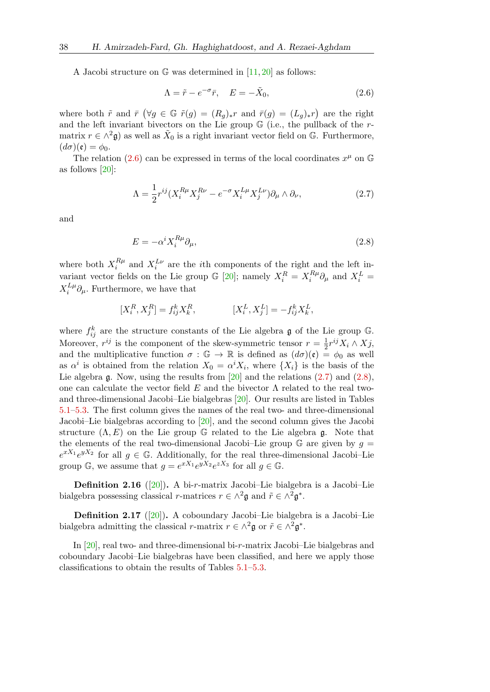A Jacobi structure on  $\mathbb G$  was determined in [\[11,](#page-22-5) [20\]](#page-22-8) as follows:

<span id="page-5-1"></span><span id="page-5-0"></span>
$$
\Lambda = \tilde{r} - e^{-\sigma}\bar{r}, \quad E = -\tilde{X}_0,\tag{2.6}
$$

where both  $\tilde{r}$  and  $\bar{r}$  ( $\forall g \in \mathbb{G}$   $\tilde{r}(g) = (R_g)_{*}r$  and  $\bar{r}(g) = (L_g)_{*}r$ ) are the right and the left invariant bivectors on the Lie group  $\mathbb G$  (i.e., the pullback of the rmatrix  $r \in \wedge^2 \mathfrak{g}$  as well as  $\tilde{X}_0$  is a right invariant vector field on G. Furthermore,  $(d\sigma)(\mathfrak{e}) = \phi_0.$ 

The relation [\(2.6\)](#page-5-0) can be expressed in terms of the local coordinates  $x^{\mu}$  on G as follows [\[20\]](#page-22-8):

$$
\Lambda = \frac{1}{2} r^{ij} (X_i^{R\mu} X_j^{R\nu} - e^{-\sigma} X_i^{L\mu} X_j^{L\nu}) \partial_\mu \wedge \partial_\nu,
$$
\n(2.7)

and

<span id="page-5-2"></span>
$$
E = -\alpha^i X_i^{R\mu} \partial_\mu,\tag{2.8}
$$

where both  $X_i^{R\mu}$  $i^{R\mu}$  and  $X_i^{L\nu}$  are the *i*th components of the right and the left invariant vector fields on the Lie group  $\mathbb{G}$  [\[20\]](#page-22-8); namely  $X_i^R = X_i^{R\mu}$  $\delta_i^{R\mu}\partial_\mu$  and  $X_i^L =$  $X_i^{L\mu}$  $i^L_{i}^{\mu} \partial_{\mu}$ . Furthermore, we have that

$$
[X^R_i,X^R_j]=f^k_{ij}X^R_k,\hspace{1cm}[X^L_i,X^L_j]=-f^k_{ij}X^L_k,\\[1ex]
$$

where  $f_{ij}^k$  are the structure constants of the Lie algebra  $\mathfrak g$  of the Lie group  $\mathbb G$ . Moreover,  $r^{ij}$  is the component of the skew-symmetric tensor  $r = \frac{1}{2}$  $\frac{1}{2}r^{ij}X_i\wedge X_j,$ and the multiplicative function  $\sigma : \mathbb{G} \to \mathbb{R}$  is defined as  $(d\sigma)(\mathfrak{e}) = \phi_0$  as well as  $\alpha^i$  is obtained from the relation  $X_0 = \alpha^i X_i$ , where  $\{X_i\}$  is the basis of the Lie algebra  $\mathfrak g$ . Now, using the results from [\[20\]](#page-22-8) and the relations [\(2.7\)](#page-5-1) and [\(2.8\)](#page-5-2), one can calculate the vector field E and the bivector  $\Lambda$  related to the real twoand three-dimensional Jacobi–Lie bialgebras [\[20\]](#page-22-8). Our results are listed in Tables [5.1](#page-15-0)[–5.3.](#page-20-0) The first column gives the names of the real two- and three-dimensional Jacobi–Lie bialgebras according to [\[20\]](#page-22-8), and the second column gives the Jacobi structure  $(\Lambda, E)$  on the Lie group G related to the Lie algebra g. Note that the elements of the real two-dimensional Jacobi–Lie group  $\mathbb G$  are given by  $g =$  $e^{xX_1}e^{yX_2}$  for all  $g \in \mathbb{G}$ . Additionally, for the real three-dimensional Jacobi–Lie group  $\mathbb{G}$ , we assume that  $g = e^{xX_1}e^{yX_2}e^{zX_3}$  for all  $g \in \mathbb{G}$ .

**Definition 2.16** ([\[20\]](#page-22-8)). A bi-r-matrix Jacobi–Lie bialgebra is a Jacobi–Lie bialgebra possessing classical r-matrices  $r \in \wedge^2 \mathfrak{g}$  and  $\tilde{r} \in \wedge^2 \mathfrak{g}^*$ .

**Definition 2.17** ([\[20\]](#page-22-8)). A coboundary Jacobi–Lie bialgebra is a Jacobi–Lie bialgebra admitting the classical r-matrix  $r \in \wedge^2 \mathfrak{g}$  or  $\tilde{r} \in \wedge^2 \mathfrak{g}^*$ .

In [\[20\]](#page-22-8), real two- and three-dimensional bi-r-matrix Jacobi–Lie bialgebras and coboundary Jacobi–Lie bialgebras have been classified, and here we apply those classifications to obtain the results of Tables [5.1–](#page-15-0)[5.3.](#page-20-0)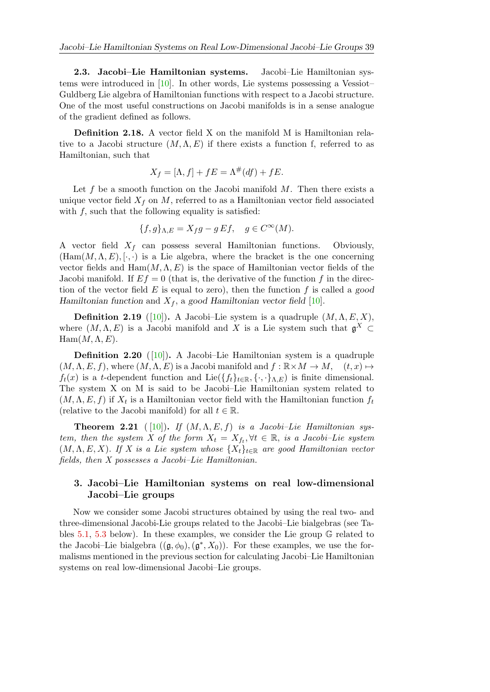2.3. Jacobi–Lie Hamiltonian systems. Jacobi–Lie Hamiltonian systems were introduced in [\[10\]](#page-21-5). In other words, Lie systems possessing a Vessiot– Guldberg Lie algebra of Hamiltonian functions with respect to a Jacobi structure. One of the most useful constructions on Jacobi manifolds is in a sense analogue of the gradient defined as follows.

Definition 2.18. A vector field X on the manifold M is Hamiltonian relative to a Jacobi structure  $(M, \Lambda, E)$  if there exists a function f, referred to as Hamiltonian, such that

$$
X_f = [\Lambda, f] + fE = \Lambda^\#(df) + fE.
$$

Let  $f$  be a smooth function on the Jacobi manifold  $M$ . Then there exists a unique vector field  $X_f$  on M, referred to as a Hamiltonian vector field associated with  $f$ , such that the following equality is satisfied:

$$
\{f, g\}_{\Lambda,E} = X_f g - g E f, \quad g \in C^{\infty}(M).
$$

A vector field  $X_f$  can possess several Hamiltonian functions. Obviously,  $(Ham(M, \Lambda, E), [\cdot, \cdot])$  is a Lie algebra, where the bracket is the one concerning vector fields and  $\text{Ham}(M, \Lambda, E)$  is the space of Hamiltonian vector fields of the Jacobi manifold. If  $Ef = 0$  (that is, the derivative of the function f in the direction of the vector field  $E$  is equal to zero), then the function  $f$  is called a good Hamiltonian function and  $X_f$ , a good Hamiltonian vector field [\[10\]](#page-21-5).

**Definition 2.19** ([\[10\]](#page-21-5)). A Jacobi–Lie system is a quadruple  $(M, \Lambda, E, X)$ , where  $(M, \Lambda, E)$  is a Jacobi manifold and X is a Lie system such that  $\mathfrak{g}^X \subset$  $Ham(M, \Lambda, E).$ 

**Definition 2.20** ([\[10\]](#page-21-5)). A Jacobi–Lie Hamiltonian system is a quadruple  $(M, \Lambda, E, f)$ , where  $(M, \Lambda, E)$  is a Jacobi manifold and  $f : \mathbb{R} \times M \to M$ ,  $(t, x) \mapsto$  $f_t(x)$  is a t-dependent function and Lie $({f_t}_{t\in\mathbb{R}}, {\{\cdot,\cdot\}}_{\Lambda,E})$  is finite dimensional. The system X on M is said to be Jacobi–Lie Hamiltonian system related to  $(M, \Lambda, E, f)$  if  $X_t$  is a Hamiltonian vector field with the Hamiltonian function  $f_t$ (relative to the Jacobi manifold) for all  $t \in \mathbb{R}$ .

**Theorem 2.21** ( [\[10\]](#page-21-5)). If  $(M, \Lambda, E, f)$  is a Jacobi–Lie Hamiltonian system, then the system X of the form  $X_t = X_{ft}$ ,  $\forall t \in \mathbb{R}$ , is a Jacobi–Lie system  $(M, \Lambda, E, X)$ . If X is a Lie system whose  $\{X_t\}_{t\in\mathbb{R}}$  are good Hamiltonian vector fields, then X possesses a Jacobi–Lie Hamiltonian.

## <span id="page-6-0"></span>3. Jacobi–Lie Hamiltonian systems on real low-dimensional Jacobi–Lie groups

Now we consider some Jacobi structures obtained by using the real two- and three-dimensional Jacobi-Lie groups related to the Jacobi–Lie bialgebras (see Tables [5.1,](#page-15-0) [5.3](#page-20-0) below). In these examples, we consider the Lie group G related to the Jacobi–Lie bialgebra  $((\mathfrak{g}, \phi_0), (\mathfrak{g}^*, X_0))$ . For these examples, we use the formalisms mentioned in the previous section for calculating Jacobi–Lie Hamiltonian systems on real low-dimensional Jacobi–Lie groups.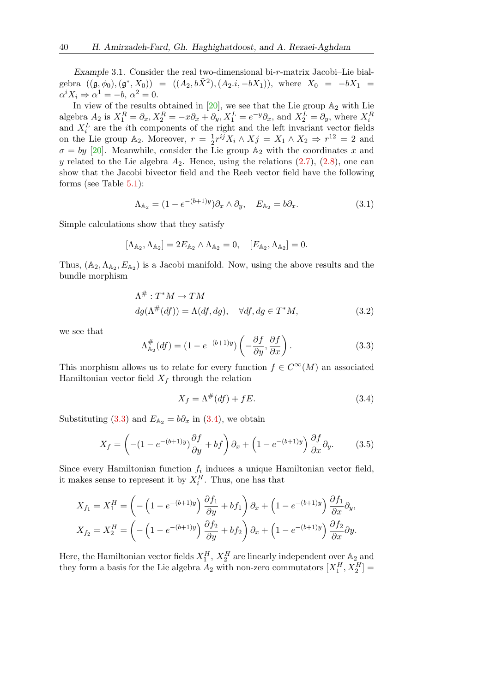Example 3.1. Consider the real two-dimensional bi-r-matrix Jacobi–Lie bialgebra  $((\mathfrak{g}, \phi_0), (\mathfrak{g}^*, X_0)) = ((A_2, b\tilde{X}^2), (A_2.i, -bX_1)),$  where  $X_0 = -bX_1 =$  $\alpha^i X_i \Rightarrow \alpha^1 = -b, \, \alpha^2 = 0.$ 

In view of the results obtained in [\[20\]](#page-22-8), we see that the Lie group  $\mathbb{A}_2$  with Lie algebra  $A_2$  is  $X_1^R = \partial_x, X_2^R = -x\partial_x + \partial_y, X_1^L = e^{-y}\partial_x$ , and  $X_2^L = \partial_y$ , where  $X_i^R$ and  $X_i^L$  are the *i*th components of the right and the left invariant vector fields on the Lie group  $\mathbb{A}_2$ . Moreover,  $r = \frac{1}{2}$  $\frac{1}{2}r^{ij}X_i \wedge X_j = X_1 \wedge X_2 \Rightarrow r^{12} = 2$  and  $\sigma = by$  [\[20\]](#page-22-8). Meanwhile, consider the Lie group  $A_2$  with the coordinates x and y related to the Lie algebra  $A_2$ . Hence, using the relations  $(2.7)$ ,  $(2.8)$ , one can show that the Jacobi bivector field and the Reeb vector field have the following forms (see Table [5.1\)](#page-15-0):

<span id="page-7-2"></span>
$$
\Lambda_{\mathbb{A}_2} = (1 - e^{-(b+1)y}) \partial_x \wedge \partial_y, \quad E_{\mathbb{A}_2} = b \partial_x. \tag{3.1}
$$

Simple calculations show that they satisfy

$$
[\Lambda_{\mathbb{A}_2}, \Lambda_{\mathbb{A}_2}] = 2E_{\mathbb{A}_2} \wedge \Lambda_{\mathbb{A}_2} = 0, \quad [E_{\mathbb{A}_2}, \Lambda_{\mathbb{A}_2}] = 0.
$$

Thus,  $(A_2, \Lambda_{A_2}, E_{A_2})$  is a Jacobi manifold. Now, using the above results and the bundle morphism

$$
\Lambda^{\#}: T^*M \to TM
$$
  

$$
dg(\Lambda^{\#}(df)) = \Lambda(df, dg), \quad \forall df, dg \in T^*M,
$$
 (3.2)

we see that

<span id="page-7-0"></span>
$$
\Lambda_{\mathbb{A}_2}^{\#}(df) = (1 - e^{-(b+1)y}) \left( -\frac{\partial f}{\partial y}, \frac{\partial f}{\partial x} \right). \tag{3.3}
$$

This morphism allows us to relate for every function  $f \in C^{\infty}(M)$  an associated Hamiltonian vector field  $X_f$  through the relation

<span id="page-7-3"></span><span id="page-7-1"></span>
$$
X_f = \Lambda^\#(df) + fE. \tag{3.4}
$$

Substituting [\(3.3\)](#page-7-0) and  $E_{A_2} = b\partial_x$  in [\(3.4\)](#page-7-1), we obtain

$$
X_f = \left( -(1 - e^{-(b+1)y}) \frac{\partial f}{\partial y} + bf \right) \partial_x + \left( 1 - e^{-(b+1)y} \right) \frac{\partial f}{\partial x} \partial_y.
$$
 (3.5)

Since every Hamiltonian function  $f_i$  induces a unique Hamiltonian vector field, it makes sense to represent it by  $X_i^H$ . Thus, one has that

$$
X_{f_1} = X_1^H = \left(-\left(1 - e^{-(b+1)y}\right) \frac{\partial f_1}{\partial y} + bf_1\right) \partial_x + \left(1 - e^{-(b+1)y}\right) \frac{\partial f_1}{\partial x} \partial_y,
$$
  

$$
X_{f_2} = X_2^H = \left(-\left(1 - e^{-(b+1)y}\right) \frac{\partial f_2}{\partial y} + bf_2\right) \partial_x + \left(1 - e^{-(b+1)y}\right) \frac{\partial f_2}{\partial x} \partial y.
$$

Here, the Hamiltonian vector fields  $X_1^H$ ,  $X_2^H$  are linearly independent over  $\mathbb{A}_2$  and they form a basis for the Lie algebra  $A_2$  with non-zero commutators  $[X_1^H, X_2^H] =$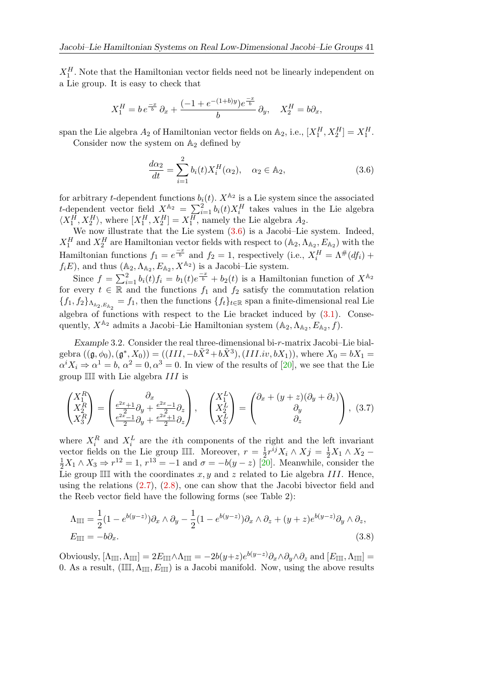$X_1^H$ . Note that the Hamiltonian vector fields need not be linearly independent on a Lie group. It is easy to check that

$$
X_1^H = b e^{-x \over b} \partial_x + {(-1 + e^{-(1+b)y}) e^{-x \over b} \over b} \partial_y, \quad X_2^H = b \partial_x,
$$

span the Lie algebra  $A_2$  of Hamiltonian vector fields on  $\mathbb{A}_2$ , i.e.,  $[X_1^H, X_2^H] = X_1^H$ . Consider now the system on  $\mathbb{A}_2$  defined by

<span id="page-8-0"></span>
$$
\frac{d\alpha_2}{dt} = \sum_{i=1}^{2} b_i(t) X_i^H(\alpha_2), \quad \alpha_2 \in \mathbb{A}_2,
$$
\n(3.6)

for arbitrary *t*-dependent functions  $b_i(t)$ .  $X^{\mathbb{A}_2}$  is a Lie system since the associated t-dependent vector field  $X_{i}^{A_2} = \sum_{i=1}^{2} b_i(t) X_i^H$  takes values in the Lie algebra  $\langle X_1^H, X_2^H \rangle$ , where  $[X_1^H, X_2^H] = X_1^H$ , namely the Lie algebra  $A_2$ .

We now illustrate that the Lie system  $(3.6)$  is a Jacobi–Lie system. Indeed,  $X_1^H$  and  $X_2^H$  are Hamiltonian vector fields with respect to  $(A_2, A_{A_2}, E_{A_2})$  with the Hamiltonian functions  $f_1 = e^{\frac{-x}{b}}$  and  $f_2 = 1$ , respectively (i.e.,  $X_i^H = \Lambda^{\#}(df_i)$  +  $f_iE$ , and thus  $(\mathbb{A}_2, \Lambda_{\mathbb{A}_2}, E_{\mathbb{A}_2}, X^{\mathbb{A}_2})$  is a Jacobi–Lie system.

Since  $f = \sum_{i=1}^{2} b_i(t) f_i = b_1(t) e^{\frac{-x}{b}} + b_2(t)$  is a Hamiltonian function of  $X^{\mathbb{A}_2}$ for every  $t \in \mathbb{R}$  and the functions  $f_1$  and  $f_2$  satisfy the commutation relation  ${f_1, f_2}_{\Lambda_{\mathbb{A}_2, E_{\mathbb{A}_2}}}=f_1$ , then the functions  ${f_t}_{t\in\mathbb{R}}$  span a finite-dimensional real Lie algebra of functions with respect to the Lie bracket induced by  $(3.1)$ . Consequently,  $X^{\mathbb{A}_2}$  admits a Jacobi–Lie Hamiltonian system  $(\mathbb{A}_2, \Lambda_{\mathbb{A}_2}, E_{\mathbb{A}_2}, f)$ .

Example 3.2. Consider the real three-dimensional bi-r-matrix Jacobi–Lie bialgebra  $((\mathfrak{g}, \phi_0), (\mathfrak{g}^*, X_0)) = ((III, -b\tilde{X}^2 + b\tilde{X}^3), (III.iv, bX_1)),$  where  $X_0 = bX_1 =$  $\alpha^i X_i \Rightarrow \alpha^1 = b, \, \alpha^2 = 0, \alpha^3 = 0.$  In view of the results of [\[20\]](#page-22-8), we see that the Lie group III with Lie algebra III is

$$
\begin{pmatrix} X_1^R \\ X_2^R \\ X_3^R \end{pmatrix} = \begin{pmatrix} \partial_x & \\ \frac{e^{2x} + 1}{2} \partial_y + \frac{e^{2x} - 1}{2} \partial_z \\ \frac{e^{2x} - 1}{2} \partial_y + \frac{e^{2x} + 1}{2} \partial_z \end{pmatrix}, \quad \begin{pmatrix} X_1^L \\ X_2^L \\ X_3^L \end{pmatrix} = \begin{pmatrix} \partial_x + (y+z)(\partial_y + \partial_z) \\ \partial_y \\ \partial_z \end{pmatrix}, \quad (3.7)
$$

where  $X_i^R$  and  $X_i^L$  are the *i*th components of the right and the left invariant vector fields on the Lie group III. Moreover,  $r = \frac{1}{2}$  $\frac{1}{2}r^{ij}X_i \wedge X_j = \frac{1}{2}X_1 \wedge X_2$  –  $\frac{1}{2}X_1 \wedge X_3 \Rightarrow r^{12} = 1, r^{13} = -1$  and  $\sigma = -b(y - z)$  [\[20\]](#page-22-8). Meanwhile, consider the Lie group III with the coordinates  $x, y$  and z related to Lie algebra III. Hence, using the relations [\(2.7\)](#page-5-1), [\(2.8\)](#page-5-2), one can show that the Jacobi bivector field and the Reeb vector field have the following forms (see Table 2):

<span id="page-8-1"></span>
$$
\Lambda_{\mathbb{III}} = \frac{1}{2} (1 - e^{b(y-z)}) \partial_x \wedge \partial_y - \frac{1}{2} (1 - e^{b(y-z)}) \partial_x \wedge \partial_z + (y+z) e^{b(y-z)} \partial_y \wedge \partial_z,
$$
  
\n
$$
E_{\mathbb{III}} = -b \partial_x.
$$
\n(3.8)

Obviously,  $[\Lambda_{\mathbb{III}}, \Lambda_{\mathbb{III}}] = 2E_{\mathbb{III}} \wedge \Lambda_{\mathbb{III}} = -2b(y+z)e^{b(y-z)}\partial_x \wedge \partial_y \wedge \partial_z$  and  $[E_{\mathbb{III}}, \Lambda_{\mathbb{III}}] =$ 0. As a result,  $(\mathbb{III}, \Lambda_{\mathbb{III}}, E_{\mathbb{III}})$  is a Jacobi manifold. Now, using the above results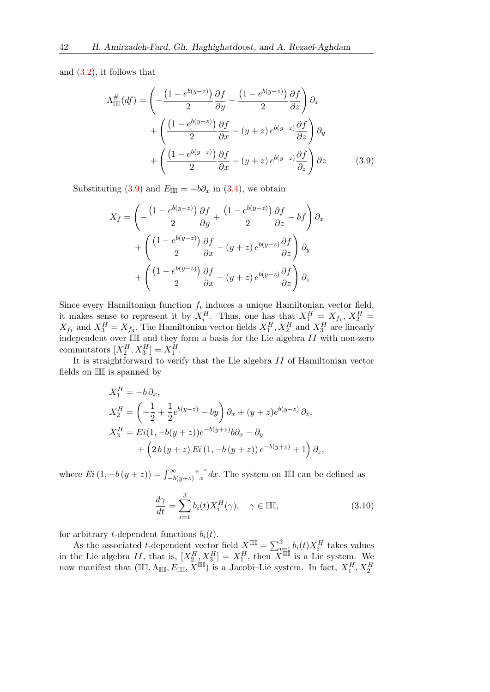and [\(3.2\)](#page-7-3), it follows that

$$
\Lambda_{\mathbb{III}}^{\#}(df) = \left(-\frac{\left(1 - e^{b(y-z)}\right)}{2} \frac{\partial f}{\partial y} + \frac{\left(1 - e^{b(y-z)}\right)}{2} \frac{\partial f}{\partial z}\right) \partial_x \n+ \left(\frac{\left(1 - e^{b(y-z)}\right)}{2} \frac{\partial f}{\partial x} - (y+z) e^{b(y-z)} \frac{\partial f}{\partial z}\right) \partial_y \n+ \left(\frac{\left(1 - e^{b(y-z)}\right)}{2} \frac{\partial f}{\partial x} - (y+z) e^{b(y-z)} \frac{\partial f}{\partial z}\right) \partial z \tag{3.9}
$$

Substituting [\(3.9\)](#page-9-0) and  $E_{\text{III}} = -b\partial_x$  in [\(3.4\)](#page-7-1), we obtain

<span id="page-9-0"></span>
$$
X_f = \left(-\frac{\left(1 - e^{b(y-z)}\right)}{2} \frac{\partial f}{\partial y} + \frac{\left(1 - e^{b(y-z)}\right)}{2} \frac{\partial f}{\partial z} - bf\right) \partial_x
$$

$$
+ \left(\frac{\left(1 - e^{b(y-z)}\right)}{2} \frac{\partial f}{\partial x} - (y+z) e^{b(y-z)} \frac{\partial f}{\partial z}\right) \partial_y
$$

$$
+ \left(\frac{\left(1 - e^{b(y-z)}\right)}{2} \frac{\partial f}{\partial x} - (y+z) e^{b(y-z)} \frac{\partial f}{\partial z}\right) \partial_z
$$

Since every Hamiltonian function  $f_i$  induces a unique Hamiltonian vector field, it makes sense to represent it by  $X_i^H$ . Thus, one has that  $X_1^H = X_{f_1}, X_2^H =$  $X_{f_1}$  and  $X_3^H = X_{f_3}$ . The Hamiltonian vector fields  $X_1^H, X_2^H$  and  $X_3^H$  are linearly independent over  $\mathbb{III}$  and they form a basis for the Lie algebra  $II$  with non-zero commutators  $[X_2^H, X_3^H] = X_1^H$ .

It is straightforward to verify that the Lie algebra II of Hamiltonian vector fields on III is spanned by

$$
X_1^H = -b \partial_x,
$$
  
\n
$$
X_2^H = \left(-\frac{1}{2} + \frac{1}{2}e^{b(y-z)} - by\right) \partial_x + (y+z)e^{b(y-z)} \partial_z,
$$
  
\n
$$
X_3^H = Ei(1, -b(y+z))e^{-b(y+z)}b\partial_x - \partial_y
$$
  
\n
$$
+ \left(2b(y+z) Ei(1, -b(y+z))e^{-b(y+z)} + 1\right) \partial_z,
$$

where  $Ei(1, -b(y + z)) = \int_{-b(y + z)}^{\infty}$  $e^{-x}$  $\frac{-x}{x}$ dx. The system on III can be defined as

$$
\frac{d\gamma}{dt} = \sum_{i=1}^{3} b_i(t) X_i^H(\gamma), \quad \gamma \in \mathbb{III},
$$
\n(3.10)

for arbitrary *t*-dependent functions  $b_i(t)$ .

As the associated t-dependent vector field  $X^{\mathbb{III}} = \sum_{i=1}^{3} b_i(t) X_i^H$  takes values in the Lie algebra II, that is,  $[X_2^H, X_3^H] = X_1^H$ , then  $X^{\overline{\mathbb{III}}}$  is a Lie system. We now manifest that  $(\mathbb{III}, \Lambda_{\mathbb{III}}, E_{\mathbb{III}}, \tilde{X}^{\mathbb{III}})$  is a Jacobi–Lie system. In fact,  $X_1^H, X_2^H$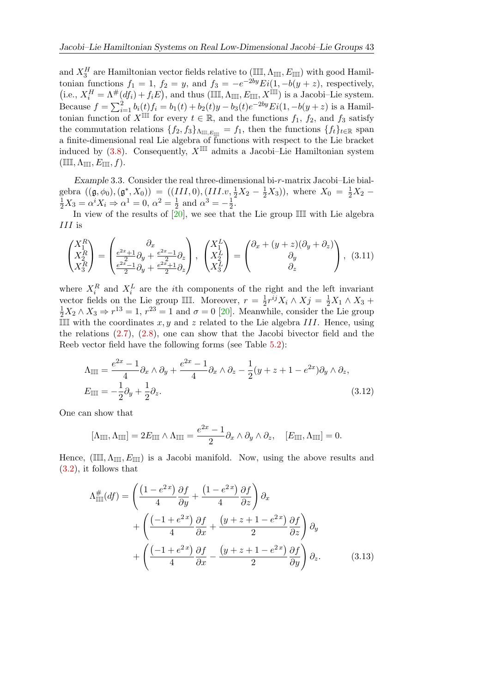and  $X_3^H$  are Hamiltonian vector fields relative to  $(\mathbb{III}, \Lambda_{\mathbb{III}}, E_{\mathbb{III}})$  with good Hamiltonian functions  $f_1 = 1$ ,  $f_2 = y$ , and  $f_3 = -e^{-2by} Ei(1, -b(y + z))$ , respectively,  $(i.e., X_i^H = \Lambda^{\#}(df_i) + f_iE),$  and thus  $(\mathbb{III}, \Lambda_{\mathbb{III}}, E_{\mathbb{III}}, X^{\mathbb{III}})$  is a Jacobi–Lie system. Because  $f = \sum_{i=1}^{2} b_i(t) f_i = b_1(t) + b_2(t)y - b_3(t)e^{-2by} Ei(1, -b(y+z))$  is a Hamiltonian function of  $X^{\parallel\parallel\parallel}$  for every  $t \in \mathbb{R}$ , and the functions  $f_1, f_2$ , and  $f_3$  satisfy the commutation relations  $\{f_2, f_3\}_{\Lambda_{\mathbb{III},E_{\mathbb{III}}}} = f_1$ , then the functions  $\{f_t\}_{t \in \mathbb{R}}$  span a finite-dimensional real Lie algebra of functions with respect to the Lie bracket induced by [\(3.8\)](#page-8-1). Consequently,  $X^{\mathbb{III}}$  admits a Jacobi–Lie Hamiltonian system  $(\mathbb{III}, \Lambda_{\mathbb{III}}, E_{\mathbb{III}}, f).$ 

Example 3.3. Consider the real three-dimensional bi-r-matrix Jacobi–Lie bialgebra  $((\mathfrak{g}, \phi_0), (\mathfrak{g}^*, X_0)) = ((III, 0), (III, v, \frac{1}{2}X_2 - \frac{1}{2}X_3))$ , where  $X_0 = \frac{1}{2}X_2 - \frac{1}{2}X_3 = \alpha^i X_i \Rightarrow \alpha^1 = 0, \ \alpha^2 = \frac{1}{2}$  and  $\alpha^3 = -\frac{1}{2}$ .  $\frac{1}{2}$  and  $\alpha^3 = -\frac{1}{2}$  $rac{1}{2}$ .

In view of the results of  $[20]$ , we see that the Lie group III with Lie algebra III is

$$
\begin{pmatrix} X_1^R \\ X_2^R \\ X_3^R \end{pmatrix} = \begin{pmatrix} \partial_x & \\ \frac{e^{2x}+1}{2}\partial_y + \frac{e^{2x}-1}{2}\partial_z \\ \frac{e^{2x}-1}{2}\partial_y + \frac{e^{2x}+1}{2}\partial_z \end{pmatrix}, \begin{pmatrix} X_1^L \\ X_2^L \\ X_3^L \end{pmatrix} = \begin{pmatrix} \partial_x + (y+z)(\partial_y + \partial_z) \\ \partial_y \\ \partial_z \end{pmatrix}, \tag{3.11}
$$

where  $X_i^R$  and  $X_i^L$  are the *i*th components of the right and the left invariant vector fields on the Lie group III. Moreover,  $r = \frac{1}{2}$  $\frac{1}{2}r^{ij}X_i \wedge X_j = \frac{1}{2}X_1 \wedge X_3 +$  $\frac{1}{2}X_2 \wedge X_3 \Rightarrow r^{13} = 1, r^{23} = 1$  and  $\sigma = 0$  [\[20\]](#page-22-8). Meanwhile, consider the Lie group III with the coordinates  $x, y$  and z related to the Lie algebra III. Hence, using the relations  $(2.7)$ ,  $(2.8)$ , one can show that the Jacobi bivector field and the Reeb vector field have the following forms (see Table [5.2\)](#page-16-0):

$$
\Lambda_{\mathbb{III}} = \frac{e^{2x} - 1}{4} \partial_x \wedge \partial_y + \frac{e^{2x} - 1}{4} \partial_x \wedge \partial_z - \frac{1}{2} (y + z + 1 - e^{2x}) \partial_y \wedge \partial_z,
$$
  
\n
$$
E_{\mathbb{III}} = -\frac{1}{2} \partial_y + \frac{1}{2} \partial_z.
$$
\n(3.12)

One can show that

<span id="page-10-1"></span>
$$
[\Lambda_{\mathbb{III}}, \Lambda_{\mathbb{III}}] = 2E_{\mathbb{III}} \wedge \Lambda_{\mathbb{III}} = \frac{e^{2x} - 1}{2} \partial_x \wedge \partial_y \wedge \partial_z, \quad [E_{\mathbb{III}}, \Lambda_{\mathbb{III}}] = 0.
$$

Hence, (III,  $\Lambda_{\mathbb{III}}$ ,  $E_{\mathbb{III}}$ ) is a Jacobi manifold. Now, using the above results and [\(3.2\)](#page-7-3), it follows that

<span id="page-10-0"></span>
$$
\Lambda_{\mathbb{III}}^{\#}(df) = \left(\frac{(1 - e^{2x})}{4}\frac{\partial f}{\partial y} + \frac{(1 - e^{2x})}{4}\frac{\partial f}{\partial z}\right)\partial_x \n+ \left(\frac{(-1 + e^{2x})}{4}\frac{\partial f}{\partial x} + \frac{(y + z + 1 - e^{2x})}{2}\frac{\partial f}{\partial z}\right)\partial_y \n+ \left(\frac{(-1 + e^{2x})}{4}\frac{\partial f}{\partial x} - \frac{(y + z + 1 - e^{2x})}{2}\frac{\partial f}{\partial y}\right)\partial_z.
$$
\n(3.13)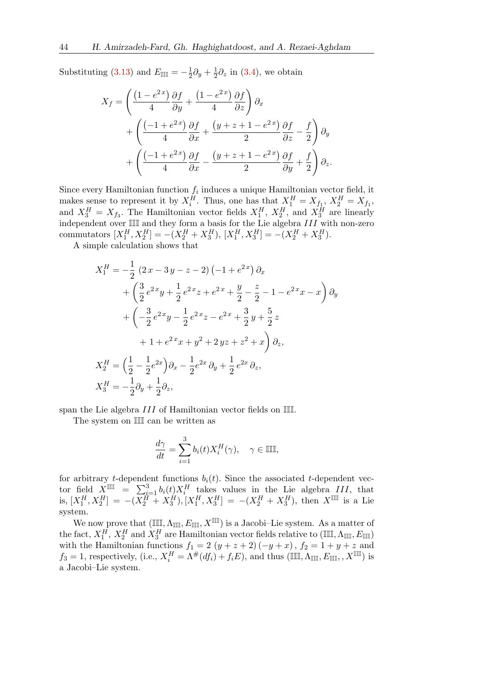Substituting [\(3.13\)](#page-10-0) and  $E_{\mathbb{III}} = -\frac{1}{2}$  $rac{1}{2}\partial_y+\frac{1}{2}$  $\frac{1}{2}\partial_z$  in [\(3.4\)](#page-7-1), we obtain

$$
X_f = \left(\frac{\left(1 - e^{2x}\right)}{4} \frac{\partial f}{\partial y} + \frac{\left(1 - e^{2x}\right)}{4} \frac{\partial f}{\partial z}\right) \partial_x + \left(\frac{\left(-1 + e^{2x}\right)}{4} \frac{\partial f}{\partial x} + \frac{\left(y + z + 1 - e^{2x}\right)}{2} \frac{\partial f}{\partial z} - \frac{f}{2}\right) \partial_y + \left(\frac{\left(-1 + e^{2x}\right)}{4} \frac{\partial f}{\partial x} - \frac{\left(y + z + 1 - e^{2x}\right)}{2} \frac{\partial f}{\partial y} + \frac{f}{2}\right) \partial_z.
$$

Since every Hamiltonian function  $f_i$  induces a unique Hamiltonian vector field, it makes sense to represent it by  $X_i^H$ . Thus, one has that  $X_1^H = X_{f_1}$ ,  $X_2^H = X_{f_1}$ , and  $X_3^H = X_{f_3}$ . The Hamiltonian vector fields  $X_1^H$ ,  $X_2^H$ , and  $X_3^H$  are linearly independent over  $\mathbb{III}$  and they form a basis for the Lie algebra  $III$  with non-zero commutators  $[X_1^H, X_2^H] = -(X_2^H + X_3^H), [X_1^H, X_3^H] = -(X_2^H + X_3^H).$ 

A simple calculation shows that

$$
X_1^H = -\frac{1}{2} (2x - 3y - z - 2) (-1 + e^{2x}) \partial_x
$$
  
+  $\left( \frac{3}{2} e^{2x} y + \frac{1}{2} e^{2x} z + e^{2x} + \frac{y}{2} - \frac{z}{2} - 1 - e^{2x} x - x \right) \partial_y$   
+  $\left( -\frac{3}{2} e^{2x} y - \frac{1}{2} e^{2x} z - e^{2x} + \frac{3}{2} y + \frac{5}{2} z$   
+  $1 + e^{2x} x + y^2 + 2 y z + z^2 + x \right) \partial_z$ ,  

$$
X_2^H = \left( \frac{1}{2} - \frac{1}{2} e^{2x} \right) \partial_x - \frac{1}{2} e^{2x} \partial_y + \frac{1}{2} e^{2x} \partial_z,
$$
  

$$
X_3^H = -\frac{1}{2} \partial_y + \frac{1}{2} \partial_z,
$$

span the Lie algebra III of Hamiltonian vector fields on III.

The system on III can be written as

$$
\frac{d\gamma}{dt} = \sum_{i=1}^{3} b_i(t) X_i^H(\gamma), \quad \gamma \in \mathbb{III},
$$

for arbitrary t-dependent functions  $b_i(t)$ . Since the associated t-dependent vector field  $X^{\text{III}} = \sum_{i=1}^{3} b_i(t) X_i^H$  takes values in the Lie algebra III, that is,  $[X_1^H, X_2^H] = -(\overline{X_2^H} + \overline{X_3^H})$ ,  $[X_1^H, X_3^H] = -(\overline{X_2^H} + \overline{X_3^H})$ , then  $X^{\mathbb{III}}$  is a Lie system.

We now prove that  $(\mathbb{III}, \Lambda_{\mathbb{III}}, E_{\mathbb{III}}, X^{\mathbb{III}})$  is a Jacobi–Lie system. As a matter of the fact,  $X_1^H$ ,  $X_2^H$  and  $X_3^H$  are Hamiltonian vector fields relative to  $(\mathbb{III}, \Lambda_{\mathbb{III}}, E_{\mathbb{III}})$ with the Hamiltonian functions  $f_1 = 2 (y + z + 2)(-y + x)$ ,  $f_2 = 1 + y + z$  and  $f_3 = 1$ , respectively, (i.e.,  $X_i^H = \Lambda^{\#}(df_i) + f_iE$ ), and thus  $(\mathbb{III}, \Lambda_{\mathbb{III}}, E_{\mathbb{III}}, X^{\mathbb{III}})$  is a Jacobi–Lie system.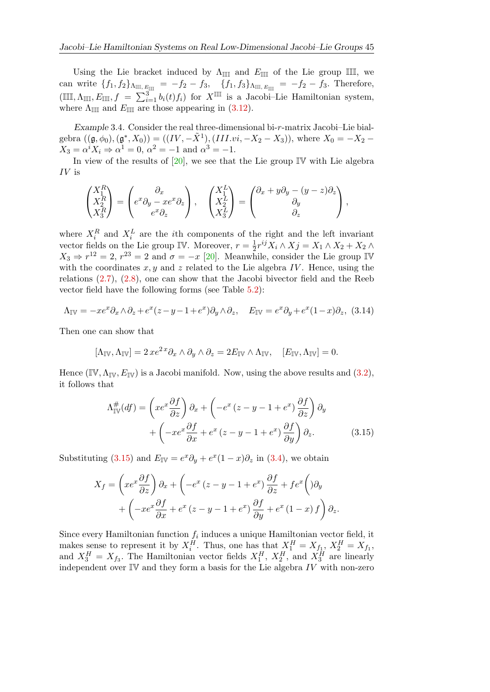Using the Lie bracket induced by  $\Lambda_{\mathbb{III}}$  and  $E_{\mathbb{III}}$  of the Lie group III, we can write  ${f_1, f_2}_{\text{AIII}, E_{\text{III}}} = -f_2 - f_3, \quad {f_1, f_3}_{\text{AIII}, E_{\text{III}}} = -f_2 - f_3.$  Therefore,  $(\mathbb{III}, \Lambda_{\mathbb{III}}, E_{\mathbb{III}}, f = \sum_{i=1}^3 b_i(t) f_i)$  for  $X^{\mathbb{III}}$  is a Jacobi–Lie Hamiltonian system, where  $\Lambda_{\mathbb{III}}$  and  $E_{\mathbb{III}}$  are those appearing in [\(3.12\)](#page-10-1).

Example 3.4. Consider the real three-dimensional bi-r-matrix Jacobi–Lie bialgebra  $((\mathfrak{g}, \phi_0), (\mathfrak{g}^*, X_0)) = ((IV, -\tilde{X}^1), (III.vi, -X_2 - X_3)),$  where  $X_0 = -X_2 X_3 = \alpha^i X_i \Rightarrow \alpha^1 = 0, \ \alpha^2 = -1 \text{ and } \alpha^3 = -1.$ 

In view of the results of  $[20]$ , we see that the Lie group IV with Lie algebra IV is

$$
\begin{pmatrix} X_1^R \\ X_2^R \\ X_3^R \end{pmatrix} = \begin{pmatrix} \partial_x & \\ e^x \partial_y - x e^x \partial_z \\ e^x \partial_z \end{pmatrix}, \quad \begin{pmatrix} X_1^L \\ X_2^L \\ X_3^L \end{pmatrix} = \begin{pmatrix} \partial_x + y \partial_y - (y - z) \partial_z \\ \partial_y & \\ \partial_z \end{pmatrix},
$$

where  $X_i^R$  and  $X_i^L$  are the *i*th components of the right and the left invariant vector fields on the Lie group IV. Moreover,  $r = \frac{1}{2}$  $\frac{1}{2}r^{ij}X_i\wedge X_j=X_1\wedge X_2+X_2\wedge$  $X_3 \Rightarrow r^{12} = 2$ ,  $r^{23} = 2$  and  $\sigma = -x$  [\[20\]](#page-22-8). Meanwhile, consider the Lie group IV with the coordinates  $x, y$  and z related to the Lie algebra IV. Hence, using the relations [\(2.7\)](#page-5-1), [\(2.8\)](#page-5-2), one can show that the Jacobi bivector field and the Reeb vector field have the following forms (see Table [5.2\)](#page-16-0):

<span id="page-12-1"></span>
$$
\Lambda_{\mathbb{IV}} = -xe^x \partial_x \wedge \partial_z + e^x (z - y - 1 + e^x) \partial_y \wedge \partial_z, \quad E_{\mathbb{IV}} = e^x \partial_y + e^x (1 - x) \partial_z, \tag{3.14}
$$

Then one can show that

$$
[\Lambda_{\mathbb{IV}}, \Lambda_{\mathbb{IV}}] = 2 \, x e^{2 \, x} \partial_x \wedge \partial_y \wedge \partial_z = 2 E_{\mathbb{IV}} \wedge \Lambda_{\mathbb{IV}}, \quad [E_{\mathbb{IV}}, \Lambda_{\mathbb{IV}}] = 0.
$$

Hence (IV,  $\Lambda_{\mathbb{IV}}, E_{\mathbb{IV}}$ ) is a Jacobi manifold. Now, using the above results and [\(3.2\)](#page-7-3), it follows that

<span id="page-12-0"></span>
$$
\Lambda_{\mathbb{IV}}^{\#}(df) = \left(xe^x \frac{\partial f}{\partial z}\right)\partial_x + \left(-e^x\left(z-y-1+e^x\right)\frac{\partial f}{\partial z}\right)\partial_y
$$

$$
+\left(-xe^x \frac{\partial f}{\partial x} + e^x\left(z-y-1+e^x\right)\frac{\partial f}{\partial y}\right)\partial_z.
$$
(3.15)

Substituting [\(3.15\)](#page-12-0) and  $E_{\mathbb{IV}} = e^x \partial_y + e^x (1-x) \partial_z$  in [\(3.4\)](#page-7-1), we obtain

$$
X_f = \left( xe^x \frac{\partial f}{\partial z} \right) \partial_x + \left( -e^x (z - y - 1 + e^x) \frac{\partial f}{\partial z} + fe^x \left( y \right) \partial_y + \left( -xe^x \frac{\partial f}{\partial x} + e^x (z - y - 1 + e^x) \frac{\partial f}{\partial y} + e^x (1 - x) f \right) \partial_z.
$$

Since every Hamiltonian function  $f_i$  induces a unique Hamiltonian vector field, it makes sense to represent it by  $X_i^H$ . Thus, one has that  $X_1^H = X_{f_1}$ ,  $X_2^H = X_{f_1}$ , and  $X_3^H = X_{f_3}$ . The Hamiltonian vector fields  $X_1^H$ ,  $X_2^H$ , and  $X_3^H$  are linearly independent over  $\mathbb{IV}$  and they form a basis for the Lie algebra IV with non-zero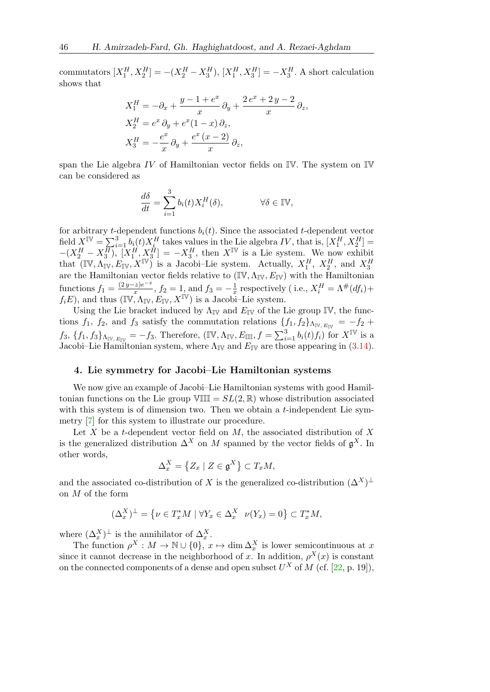commutators  $[X_1^H, X_2^H] = -(X_2^H - X_3^H), [X_1^H, X_3^H] = -X_3^H$ . A short calculation shows that

$$
X_1^H = -\partial_x + \frac{y - 1 + e^x}{x} \partial_y + \frac{2e^x + 2y - 2}{x} \partial_z,
$$
  
\n
$$
X_2^H = e^x \partial_y + e^x (1 - x) \partial_z,
$$
  
\n
$$
X_3^H = -\frac{e^x}{x} \partial_y + \frac{e^x (x - 2)}{x} \partial_z,
$$

span the Lie algebra IV of Hamiltonian vector fields on  $\mathbb{IV}$ . The system on  $\mathbb{IV}$ can be considered as

$$
\frac{d\delta}{dt} = \sum_{i=1}^{3} b_i(t) X_i^H(\delta), \qquad \forall \delta \in \mathbb{IV},
$$

for arbitrary t-dependent functions  $b_i(t)$ . Since the associated t-dependent vector field  $X^{\mathbb{IV}} = \sum_{i=1}^{3} b_i(t) X_i^H$  takes values in the Lie algebra IV, that is,  $[X_1^H, X_2^H] =$  $-(X_2^H - X_3^{\overline{H}}), [X_1^H, X_3^{\overline{H}}] = -X_3^H$ , then  $X^{\mathbb{IV}}$  is a Lie system. We now exhibit that  $(\mathbb{IV}, \Lambda_{\mathbb{IV}}, E_{\mathbb{IV}}, X^{\mathbb{IV}})$  is a Jacobi–Lie system. Actually,  $X_1^H$ ,  $X_2^H$ , and  $X_3^H$ are the Hamiltonian vector fields relative to  $(\mathbb{IV}, \Lambda_{\mathbb{IV}}, E_{\mathbb{IV}})$  with the Hamiltonian functions  $f_1 = \frac{(2y-z)e^{-x}}{x}$  $f_2 = \frac{z}{x}$ ,  $f_2 = 1$ , and  $f_3 = -\frac{1}{x}$  $\frac{1}{x}$  respectively (i.e.,  $X_i^H = \Lambda^{\#}(df_i) +$  $f_iE$ , and thus  $(\mathbb{IV}, \Lambda_{\mathbb{IV}}, E_{\mathbb{IV}}, X^{\mathbb{IV}})$  is a Jacobi–Lie system.

Using the Lie bracket induced by  $\Lambda_{\mathbb{IV}}$  and  $E_{\mathbb{IV}}$  of the Lie group IV, the functions  $f_1$ ,  $f_2$ , and  $f_3$  satisfy the commutation relations  $\{f_1, f_2\}_{\Lambda_{\rm IV}, E_{\rm IV}} = -f_2 +$  $f_3, \{f_1, f_3\}_{\Lambda_{\rm IV}, E_{\rm IV}} = -f_3$ . Therefore,  $(\mathbb{IV}, \Lambda_{\rm IV}, E_{\mathbb{III}}, f = \sum_{i=1}^3 b_i(t) f_i)$  for  $X^{\mathbb{IV}}$  is a Jacobi–Lie Hamiltonian system, where  $\Lambda_{\mathbb{I}\mathbb{V}}$  and  $E_{\mathbb{I}\mathbb{V}}$  are those appearing in [\(3.14\)](#page-12-1).

#### <span id="page-13-0"></span>4. Lie symmetry for Jacobi–Lie Hamiltonian systems

We now give an example of Jacobi–Lie Hamiltonian systems with good Hamiltonian functions on the Lie group  $VIII = SL(2, \mathbb{R})$  whose distribution associated with this system is of dimension two. Then we obtain a  $t$ -independent Lie symmetry [\[7\]](#page-21-4) for this system to illustrate our procedure.

Let  $X$  be a t-dependent vector field on  $M$ , the associated distribution of  $X$ is the generalized distribution  $\Delta^X$  on M spanned by the vector fields of  $\mathfrak{g}^X$ . In other words,

$$
\Delta_x^X = \left\{ Z_x \mid Z \in \mathfrak{g}^X \right\} \subset T_xM,
$$

and the associated co-distribution of X is the generalized co-distribution  $(\Delta^X)^{\perp}$ on M of the form

$$
(\Delta_x^X)^\perp = \left\{ \nu \in T_x^* M \mid \forall Y_x \in \Delta_x^X \quad \nu(Y_x) = 0 \right\} \subset T_x^* M,
$$

where  $(\Delta_x^X)^{\perp}$  is the annihilator of  $\Delta_x^X$ .

The function  $\rho^X : M \to \mathbb{N} \cup \{0\}$ ,  $x \mapsto \dim \Delta_x^X$  is lower semicontinuous at x since it cannot decrease in the neighborhood of x. In addition,  $\rho^X(x)$  is constant on the connected components of a dense and open subset  $U^X$  of M (cf. [\[22,](#page-22-10) p. 19]),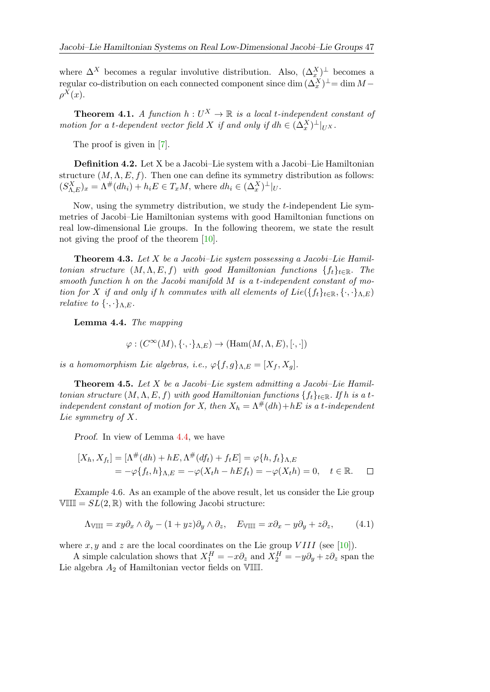where  $\Delta^X$  becomes a regular involutive distribution. Also,  $(\Delta_x^X)^{\perp}$  becomes a regular co-distribution on each connected component since dim  $(\Delta_x^X)^{\perp}$  = dim M –  $\rho^X(x)$ .

**Theorem 4.1.** A function  $h: U^X \to \mathbb{R}$  is a local t-independent constant of motion for a t-dependent vector field X if and only if  $dh \in (\Delta_x^X)^{\perp}|_{U^X}$ .

The proof is given in [\[7\]](#page-21-4).

Definition 4.2. Let X be a Jacobi–Lie system with a Jacobi–Lie Hamiltonian structure  $(M, \Lambda, E, f)$ . Then one can define its symmetry distribution as follows:  $(S_{\Lambda,E}^X)_x = \Lambda^{\#}(dh_i) + h_i E \in T_x M$ , where  $dh_i \in (\Delta_x^X)^{\perp}|_U$ .

Now, using the symmetry distribution, we study the t-independent Lie symmetries of Jacobi–Lie Hamiltonian systems with good Hamiltonian functions on real low-dimensional Lie groups. In the following theorem, we state the result not giving the proof of the theorem [\[10\]](#page-21-5).

**Theorem 4.3.** Let X be a Jacobi–Lie system possessing a Jacobi–Lie Hamiltonian structure  $(M, \Lambda, E, f)$  with good Hamiltonian functions  $\{f_t\}_{t\in\mathbb{R}}$ . The smooth function h on the Jacobi manifold M is a t-independent constant of motion for X if and only if h commutes with all elements of  $Lie({f_t}_{t\in\mathbb{R}}, {\{\cdot,\cdot\}_{\Lambda,E}})$ *relative to*  $\{\cdot,\cdot\}_{{\Lambda},E}$ .

<span id="page-14-0"></span>Lemma 4.4. The mapping

$$
\varphi: (C^{\infty}(M), \{\cdot, \cdot\}_{\Lambda,E}) \to (\text{Ham}(M, \Lambda, E), [\cdot, \cdot])
$$

is a homomorphism Lie algebras, i.e.,  $\varphi\{f, g\}_{\Lambda,E} = [X_f, X_g].$ 

<span id="page-14-1"></span>**Theorem 4.5.** Let  $X$  be a Jacobi–Lie system admitting a Jacobi–Lie Hamiltonian structure  $(M, \Lambda, E, f)$  with good Hamiltonian functions  $\{f_t\}_{t\in\mathbb{R}}$ . If h is a tindependent constant of motion for X, then  $X_h = \Lambda^{\#}(dh) + hE$  is a t-independent Lie symmetry of X.

Proof. In view of Lemma [4.4,](#page-14-0) we have

$$
[X_h, X_{ft}] = [\Lambda^\#(dh) + hE, \Lambda^\#(df_t) + f_tE] = \varphi\{h, f_t\}_{\Lambda, E}
$$
  
=  $-\varphi\{f_t, h\}_{\Lambda, E} = -\varphi(X_t h - hE f_t) = -\varphi(X_t h) = 0, \quad t \in \mathbb{R}.$ 

Example 4.6. As an example of the above result, let us consider the Lie group VIII =  $SL(2,\mathbb{R})$  with the following Jacobi structure:

$$
\Lambda_{\text{VIII}} = xy\partial_x \wedge \partial_y - (1 + yz)\partial_y \wedge \partial_z, \quad E_{\text{VIII}} = x\partial_x - y\partial_y + z\partial_z,\tag{4.1}
$$

where x, y and z are the local coordinates on the Lie group VIII (see [\[10\]](#page-21-5)).

A simple calculation shows that  $X_1^H = -x\partial_z$  and  $X_2^H = -y\partial_y + z\partial_z$  span the Lie algebra  $A_2$  of Hamiltonian vector fields on VIII.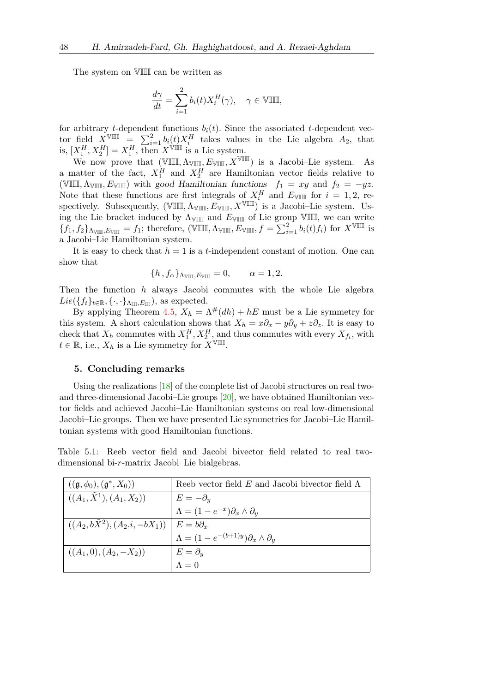The system on VIII can be written as

$$
\frac{d\gamma}{dt} = \sum_{i=1}^{2} b_i(t) X_i^H(\gamma), \quad \gamma \in \mathbb{VIII},
$$

for arbitrary t-dependent functions  $b_i(t)$ . Since the associated t-dependent vector field  $X^{\text{VIII}}$  =  $\sum_{i=1}^{2} b_i(t) X_i^H$  takes values in the Lie algebra  $A_2$ , that is,  $[X_1^H, X_2^H] = X_1^H$ , then  $X^{\forall \text{III}}$  is a Lie system.

We now prove that  $(\mathbb{VIII}, \Lambda_{\mathbb{VIII}} , E_{\mathbb{VIII}}, X^{\mathbb{VIII}})$  is a Jacobi–Lie system. As a matter of the fact,  $X_1^H$  and  $X_2^H$  are Hamiltonian vector fields relative to (VIII,  $\Lambda_{\text{VIII}}$ ,  $E_{\text{VIII}}$ ) with good Hamiltonian functions  $f_1 = xy$  and  $f_2 = -yz$ . Note that these functions are first integrals of  $X_i^H$  and  $E_{\text{VIII}}$  for  $i = 1, 2$ , respectively. Subsequently,  $(\forall \mathbb{III}, \Lambda_{\forall \mathbb{III}}, E_{\forall \mathbb{III}}, X^{\forall \mathbb{III}})$  is a Jacobi–Lie system. Using the Lie bracket induced by  $\Lambda_{\text{VIII}}$  and  $E_{\text{VIII}}$  of Lie group VIII, we can write  ${f_1, f_2}_{\text{A}_{\text{VIII}},E_{\text{VIII}}}=f_1$ ; therefore, (VIII,  $\Lambda_{\text{VIII}}, E_{\text{VIII}}, f=\sum_{i=1}^2 b_i(t)f_i$ ) for  $X^{\text{VIII}}$  is a Jacobi–Lie Hamiltonian system.

It is easy to check that  $h = 1$  is a t-independent constant of motion. One can show that

$$
\{h, f_{\alpha}\}_{\Lambda \text{VIII}, E \text{VIII}} = 0, \qquad \alpha = 1, 2.
$$

Then the function  $h$  always Jacobi commutes with the whole Lie algebra  $Lie({f_t}_{t\in\mathbb{R}}, {\{\cdot,\cdot\}_{\Lambda_{\text{III}},E_{\text{III}}}})$ , as expected.

By applying Theorem [4.5,](#page-14-1)  $X_h = \Lambda^{\#}(dh) + hE$  must be a Lie symmetry for this system. A short calculation shows that  $X_h = x\partial_x - y\partial_y + z\partial_z$ . It is easy to check that  $X_h$  commutes with  $X_1^H, X_2^H$ , and thus commutes with every  $X_{f_t}$ , with  $t \in \mathbb{R}$ , i.e.,  $X_h$  is a Lie symmetry for  $X^{\forall \mathbb{III}}$ .

#### 5. Concluding remarks

Using the realizations  $\boxed{18}$  of the complete list of Jacobi structures on real twoand three-dimensional Jacobi–Lie groups [\[20\]](#page-22-8), we have obtained Hamiltonian vector fields and achieved Jacobi–Lie Hamiltonian systems on real low-dimensional Jacobi–Lie groups. Then we have presented Lie symmetries for Jacobi–Lie Hamiltonian systems with good Hamiltonian functions.

<span id="page-15-0"></span>Table 5.1: Reeb vector field and Jacobi bivector field related to real twodimensional bi-r-matrix Jacobi–Lie bialgebras.

| $((\mathfrak{g}, \phi_0), (\mathfrak{g}^*, X_0))$               | Reeb vector field E and Jacobi bivector field $\Lambda$    |
|-----------------------------------------------------------------|------------------------------------------------------------|
| $((A_1, \tilde{X}^1), (A_1, X_2))$                              | $E=-\partial_y$                                            |
|                                                                 | $\Lambda = (1 - e^{-x}) \partial_x \wedge \partial_y$      |
| $((A_2, b\overline{X}^2), (A_2.i, -bX_1)) \mid E = b\partial_x$ |                                                            |
|                                                                 | $\Lambda = (1 - e^{-(b+1)y}) \partial_x \wedge \partial_y$ |
| $((A_1, 0), (A_2, -X_2))$                                       | $E=\partial_y$                                             |
|                                                                 | $\Lambda = 0$                                              |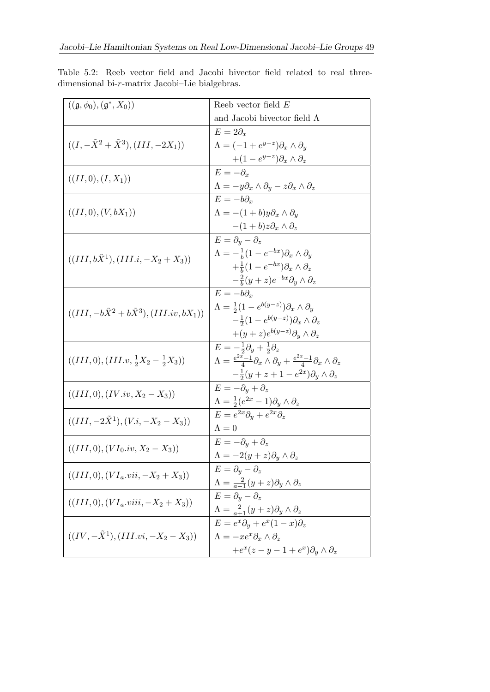<span id="page-16-0"></span>Table 5.2: Reeb vector field and Jacobi bivector field related to real threedimensional bi-r-matrix Jacobi–Lie bialgebras.

| $((\mathfrak{g}, \phi_0), (\mathfrak{g}^*, X_0))$      | Reeb vector field $E$                                                                                   |
|--------------------------------------------------------|---------------------------------------------------------------------------------------------------------|
|                                                        | and Jacobi bivector field $\Lambda$                                                                     |
| $((I, -\tilde{X}^2 + \tilde{X}^3), (III, -2X_1))$      | $E=2\partial_x$                                                                                         |
|                                                        | $\Lambda = (-1 + e^{y-z}) \partial_x \wedge \partial_y$                                                 |
|                                                        | $+(1-e^{y-z})\partial_x\wedge\partial_z$                                                                |
|                                                        | $E=-\partial_x$                                                                                         |
| $((II,0),(I,X_1))$                                     | $\Lambda = -y\partial_x \wedge \partial_y - z\partial_x \wedge \partial_z$                              |
|                                                        | $E = -b\partial_r$                                                                                      |
| $((II,0),(V,bX_1))$                                    | $\Lambda = -(1+b)y\partial_x \wedge \partial_y$                                                         |
|                                                        | $-(1+b)z\partial_x\wedge\partial_z$                                                                     |
|                                                        | $E = \partial_u - \partial_z$                                                                           |
| $((III, b\tilde{X}^1), (III.i, -X_2+X_3))$             | $\Lambda = -\frac{1}{b}(1 - e^{-bx})\partial_x \wedge \partial_y$                                       |
|                                                        | $+\frac{1}{b}(1-e^{-bx})\partial_x\wedge\partial_z$                                                     |
|                                                        | $-\frac{2}{b}(y+z)e^{-bx}\partial_y\wedge\partial_z$                                                    |
|                                                        | $E = -b\partial_r$                                                                                      |
| $((III, -b\tilde{X}^2+b\tilde{X}^3), (III.iv, bX_1))$  | $\Lambda = \frac{1}{2}(1 - e^{b(y-z)})\partial_x \wedge \partial_y$                                     |
|                                                        | $-\frac{1}{2}(1-e^{b(y-z)})\partial_x\wedge\partial_z$                                                  |
|                                                        | $+(y+z)e^{b(y-z)}\partial_y\wedge\partial_z$                                                            |
|                                                        | $E=-\frac{1}{2}\partial_y+\frac{1}{2}\partial_z$                                                        |
| $((III,0), (III, v, \frac{1}{2}X_2 - \frac{1}{2}X_3))$ | $\Lambda = \frac{e^{2x}-1}{4}\partial_x\wedge\partial_y + \frac{e^{2x}-1}{4}\partial_x\wedge\partial_z$ |
|                                                        | $-\frac{1}{2}(y+z+1-e^{2x})\partial_y\wedge \partial_z$                                                 |
| $((III,0), (IV.iv, X_2 - X_3))$                        | $E=-\partial_y+\partial_z$                                                                              |
|                                                        | $\Lambda = \frac{1}{2}(e^{2x} - 1)\partial_y \wedge \partial_z$                                         |
| $((III, -2\tilde{X}^1), (V.i, -X_2-X_3))$              | $E = e^{2x} \partial_y + e^{2x} \partial_z$                                                             |
|                                                        | $\Lambda = 0$                                                                                           |
| $((III,0),(VI_0.iv,X_2-X_3))$                          | $E=-\partial_u+\partial_z$                                                                              |
|                                                        | $\Lambda = -2(y+z)\partial_y \wedge \partial_z$                                                         |
| $((III,0),(VI_a.vii,-X_2+X_3))$                        | $E = \partial_y - \partial_z$                                                                           |
|                                                        | $\Lambda=\frac{-2}{a-1}(y+z)\partial _y\wedge \partial _z$                                              |
| $((III,0),(VI_a.viii,-X_2+X_3))$                       | $E = \partial_u - \partial_z$                                                                           |
|                                                        | $\Lambda=\frac{2}{a+1}(y+z)\partial _y\wedge \partial _z$                                               |
| $((IV, -X1), (III, vi, -X2 - X3))$                     | $E = e^x \partial_y + e^x (1-x) \partial_z$                                                             |
|                                                        | $\Lambda = -xe^x\partial_x\wedge\partial_z$                                                             |
|                                                        | $+e^x(z-y-1+e^x)\partial_y\wedge\partial_z$                                                             |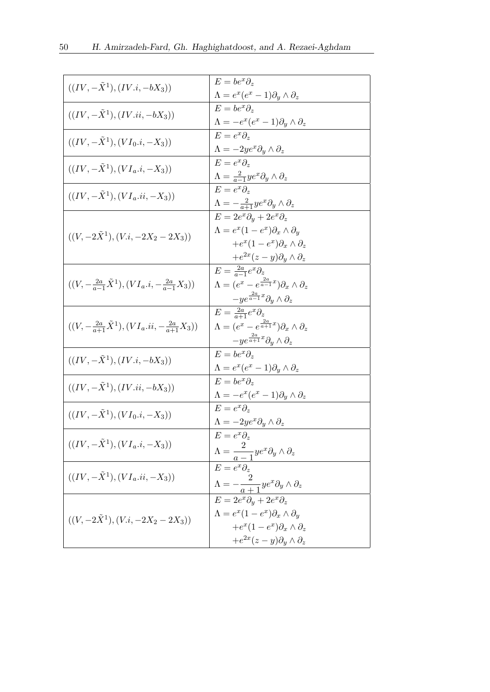| $((IV, -X^1), (IV.i, -bX_3))$                                      | $E = be^x \partial_x$<br>$\Lambda = e^x(e^x-1)\partial_y\wedge \partial_z$                                                                                                               |
|--------------------------------------------------------------------|------------------------------------------------------------------------------------------------------------------------------------------------------------------------------------------|
| $((IV, -X^1), (IV.ii, -bX_3))$                                     | $E = be^x \partial_x$<br>$\Lambda = -e^x(e^x-1)\partial_y\wedge\partial_z$                                                                                                               |
| $((IV, -X^1), (VI_0.i, -X_3))$                                     | $E=e^x\partial_x$                                                                                                                                                                        |
| $((IV, -X^1), (VI_a.i, -X_3))$                                     | $\Lambda = -2 y e^x \partial_y \wedge \partial_z$<br>$E=e^x\partial_x$                                                                                                                   |
| $((IV, -X^1), (VI_a.ii, -X_3))$                                    | $\Lambda = \tfrac{2}{a-1} y e^x \partial_y \wedge \partial_z$<br>$E=e^{x}\partial_{z}$                                                                                                   |
|                                                                    | $\Lambda = -\frac{2}{a+1}ye^{x}\partial_{y}\wedge \partial_{z}$<br>$E = 2e^x \partial_y + 2e^x \partial_z$                                                                               |
| $((V, -2\tilde{X}^1), (V.i, -2X_2 - 2X_3))$                        | $\Lambda = e^x (1 - e^x) \partial_x \wedge \partial_y$<br>$+e^x(1-e^x)\partial_x\wedge\partial_z$<br>$+e^{2x}(z-y)\partial_y\wedge\partial_z$                                            |
| $((V, -\frac{2a}{a-1}\tilde{X}^1), (VI_a.i, -\frac{2a}{a-1}X_3))$  | $E = \frac{2a}{a-1}e^x\partial_z$<br>$\Lambda = (e^x - e^{\frac{2a}{a-1}x})\partial_x \wedge \partial_z$<br>$-ye^{\frac{2a}{a-1}x}\partial_y\wedge\partial_z$                            |
| $((V, -\frac{2a}{a+1}\tilde{X}^1), (VI_a.ii, -\frac{2a}{a+1}X_3))$ | $E = \frac{2a}{a+1}e^x\partial_z$<br>$\Lambda = (e^x - e^{\frac{2a}{a+1}x})\partial_x \wedge \partial_z$<br>$-ye^{\frac{2a}{a+1}x}\partial_y\wedge\partial_z$                            |
| $((IV, -X^1), (IV.i, -bX_3))$                                      | $E = be^x \partial_z$<br>$\Lambda = e^x(e^x - 1)\partial_y \wedge \partial_z$                                                                                                            |
| $((IV, -\tilde{X}^1), (IV.ii, -bX_3))$                             | $E = be^x \partial_x$<br>$\Lambda = -e^x(e^x - 1)\partial_y \wedge \partial_z$                                                                                                           |
| $((IV, -X^1), (VI_0.i, -X_3))$                                     | $E=e^{x}\partial_{z}$<br>$\Lambda = -2ye^x\partial_y \wedge \partial_z$                                                                                                                  |
| $((IV, -X^1), (VI_a.i, -X_3))$                                     | $E=e^x\partial_z$<br>$\Lambda = \frac{2}{a-1}ye^{x}\partial_{y}\wedge\partial_{z}$                                                                                                       |
| $((IV, -X^1), (VI_a.ii, -X_3))$                                    | $E=e^{x}\partial_{x}$<br>$\Lambda = -\frac{2}{a+1}ye^{x}\partial_{y}\wedge \partial_{z}$                                                                                                 |
| $((V, -2\tilde{X}^1), (V.i, -2X_2 - 2X_3))$                        | $E = 2e^x \partial_y + 2e^x \partial_z$<br>$\Lambda = e^x (1 - e^x) \partial_x \wedge \partial_y$<br>$+e^x(1-e^x)\partial_x\wedge\partial_z$<br>$+e^{2x}(z-y)\partial_y\wedge\partial_z$ |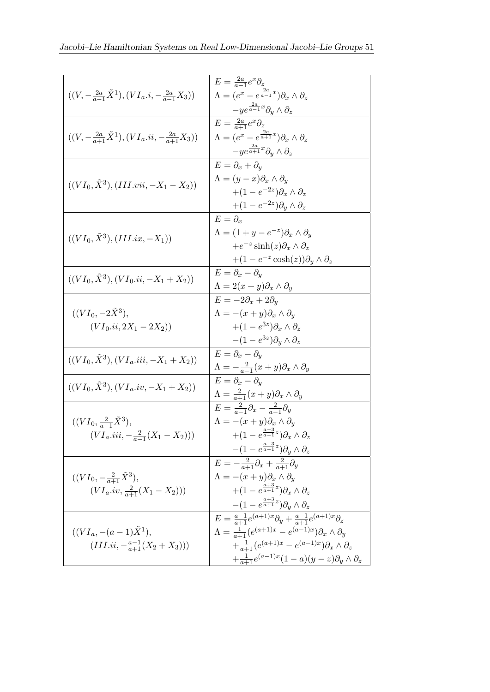| $((V, -\frac{2a}{a-1}\tilde{X}^1), (VI_a.i, -\frac{2a}{a-1}X_3))$                | $E = \frac{2a}{a-1}e^x\partial_z$<br>$\Lambda = (e^x - e^{\frac{2a}{a-1}x})\partial_x \wedge \partial_z$ |
|----------------------------------------------------------------------------------|----------------------------------------------------------------------------------------------------------|
|                                                                                  | $-ye^{\frac{2a}{a-1}x}\partial_y\wedge\partial_z$                                                        |
| $((V, -\frac{2a}{a+1}\tilde{X}^1), (VI_a.ii, -\frac{2a}{a+1}X_3))$               | $E = \frac{2a}{a+1}e^x\partial_z$                                                                        |
|                                                                                  | $\Lambda = (e^x - e^{\frac{2a}{a+1}x})\partial_x \wedge \partial_z$                                      |
|                                                                                  | $-ye^{\frac{2a}{a+1}x}\partial_y\wedge\partial_z$                                                        |
|                                                                                  | $E = \partial_x + \partial_y$                                                                            |
|                                                                                  | $\Lambda = (y - x)\partial_x \wedge \partial_y$                                                          |
| $((VI_0, \tilde{X}^3), (III.vii, -X_1 - X_2))$                                   | $+(1-e^{-2z})\partial_x\wedge\partial_z$                                                                 |
|                                                                                  | $+(1-e^{-2z})\partial_y\wedge\partial_z$                                                                 |
|                                                                                  | $E = \partial_r$                                                                                         |
|                                                                                  | $\Lambda = (1 + y - e^{-z}) \partial_x \wedge \partial_y$                                                |
| $((VI_0, \tilde{X}^3), (III.ix, -X_1))$                                          | + $e^{-z}$ sinh $(z)\partial_x \wedge \partial_z$                                                        |
|                                                                                  | +(1 – $e^{-z} \cosh(z)$ ) $\partial_y \wedge \partial_z$                                                 |
| $((VI_0, \tilde{X}^3), (VI_0.ii, -X_1+X_2))$                                     | $E = \partial_x - \partial_y$                                                                            |
|                                                                                  | $\Lambda = 2(x+y)\partial_x \wedge \partial_y$                                                           |
|                                                                                  | $E = -2\partial_x + 2\partial_y$                                                                         |
| $((VI_0, -2\tilde{X}^3),$                                                        | $\Lambda = -(x+y)\partial_x \wedge \partial_y$                                                           |
| $(VI_0.ii, 2X_1 - 2X_2))$                                                        | $+(1-e^{3z})\partial_x\wedge\partial_z$                                                                  |
|                                                                                  | $-(1-e^{3z})\partial_y\wedge\partial_z$                                                                  |
| $((VI_0, \tilde{X}^3), (VI_a. iii, -X_1 + X_2))$                                 | $E = \partial_x - \partial_y$                                                                            |
|                                                                                  | $\Lambda=-\frac{2}{a-1}(x+y)\partial _x\wedge \partial _y$                                               |
| $((VI_0, \tilde{X}^3), (VI_a.iv, -X_1+X_2))$                                     | $E = \partial_x - \partial_y$                                                                            |
|                                                                                  | $\Lambda = \frac{2}{a+1}(x+y)\partial_x \wedge \partial_y$                                               |
|                                                                                  | $E=\frac{2}{a-1}\partial_x-\frac{2}{a-1}\partial_y$                                                      |
| $((VI_0, \frac{2}{a-1}\tilde{X}^3),$<br>$(VI_a.iii, -\frac{2}{a-1}(X_1 - X_2)))$ | $\Lambda = -(x+y)\partial_x \wedge \partial_y$                                                           |
|                                                                                  | $+(1-e^{\frac{a-3}{a-1}z})\partial _x\wedge \partial _z$                                                 |
|                                                                                  | $-(1-e^{\frac{a-3}{a-1}z})\partial_u\wedge \partial_z$                                                   |
|                                                                                  | $E=-\frac{2}{a+1}\partial_x+\frac{2}{a+1}\partial_y$                                                     |
| $((VI_0, -\frac{2}{a+1}\tilde{X}^3),$<br>$(VI_a.iv, \frac{2}{a+1}(X_1-X_2)))$    | $\Lambda = -(x+y)\partial_x \wedge \partial_y$                                                           |
|                                                                                  | $+(1-e^{\frac{a+3}{a+1}z})\partial_x\wedge\partial_z$                                                    |
|                                                                                  | $-(1-e^{\frac{a+3}{a+1}z})\partial_y\wedge\partial_z$                                                    |
| $((VI_a, -(a-1)\tilde{X}^1),$<br>$(III.ii, -\frac{a-1}{a+1}(X_2+X_3)))$          | $E = \frac{a-1}{a+1}e^{(a+1)x}\partial_y + \frac{a-1}{a+1}e^{(a+1)x}\partial_z$                          |
|                                                                                  | $\Lambda = \frac{1}{a+1} (e^{(a+1)x} - e^{(a-1)x}) \partial_x \wedge \partial_y$                         |
|                                                                                  | $+\frac{1}{a+1}(e^{(a+1)x}-e^{(a-1)x})\partial _x\wedge \partial _z$                                     |
|                                                                                  | $+\frac{1}{a+1}e^{(a-1)x}(1-a)(y-z)\partial _y\wedge \partial _z$                                        |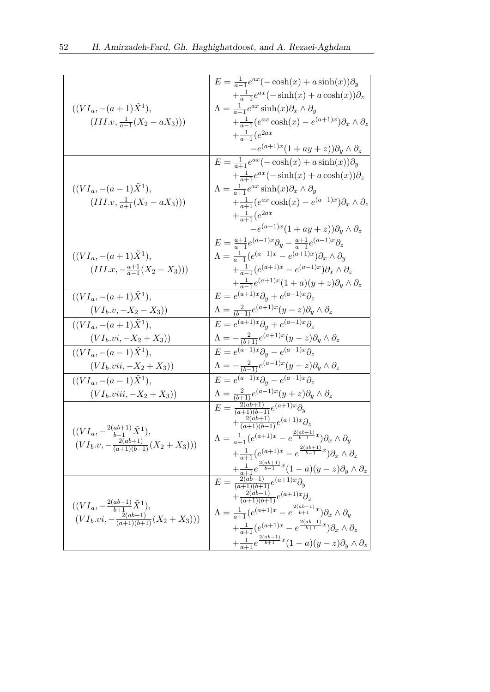|                                                    | $E = \frac{1}{a-1}e^{ax}(-\cosh(x) + a\sinh(x))\partial_y$                                                                                                |
|----------------------------------------------------|-----------------------------------------------------------------------------------------------------------------------------------------------------------|
|                                                    | $+\frac{1}{a-1}e^{ax}(-\sinh(x)+a\cosh(x))\partial_z$                                                                                                     |
| $((VI_a, -(a+1)\tilde{X}^1),$                      | $\Lambda = \frac{1}{a-1}e^{ax}\sinh(x)\partial_x\wedge\partial_y$                                                                                         |
| $(III.v, \frac{1}{a-1}(X_2 - aX_3)))$              | $+\frac{1}{a-1}(e^{ax}\cosh(x)-e^{(a+1)x})\partial_x\wedge\partial_z$                                                                                     |
|                                                    | $+\frac{1}{a-1}(e^{2ax}$                                                                                                                                  |
|                                                    |                                                                                                                                                           |
|                                                    | $-e^{(a+1)x}(1+ay+z)\partial_y\wedge\partial_z$                                                                                                           |
|                                                    | $E = \frac{1}{a+1}e^{ax}(-\cosh(x) + a\sinh(x))\partial_y$                                                                                                |
|                                                    | $+\frac{1}{a+1}e^{ax}(-\sinh(x)+a\cosh(x))\partial_z$                                                                                                     |
| $((VI_a, -(a-1)X^1),$                              | $\Lambda = \frac{1}{a+1}e^{ax}\sinh(x)\partial_x\wedge\partial_y$                                                                                         |
| $(III.v, \frac{1}{a+1}(X_2 - aX_3)))$              | $+\frac{1}{a+1}(e^{ax}\cosh(x)-e^{(a-1)x})\partial_x\wedge\partial_z$                                                                                     |
|                                                    | $+\frac{1}{a+1}(e^{2ax}$                                                                                                                                  |
|                                                    | $-e^{(a-1)x}(1+ay+z)\partial_y\wedge\partial_z$                                                                                                           |
|                                                    | $E = \frac{a+1}{a-1}e^{(a-1)x}\partial_y - \frac{a+1}{a-1}e^{(a-1)x}\partial_z$                                                                           |
|                                                    | $\Lambda = \frac{1}{a-1} (e^{(a-1)x} - e^{(a+1)x}) \partial_x \wedge \partial_y$                                                                          |
| $((VI_a, -(a+1)\tilde{X}^1),$                      |                                                                                                                                                           |
| $(III.x, -\frac{a+1}{a-1}(X_2 - X_3)))$            | $+\frac{1}{a-1}(e^{(a+1)x}-e^{(a-1)x})\partial _x\wedge \partial _z$                                                                                      |
|                                                    | $+\frac{1}{a-1}e^{(a+1)x}(1+a)(y+z)\partial _y\wedge \partial _z$                                                                                         |
| $((VI_a, -(a+1)\tilde{X}^1),$                      | $E = e^{(a+1)x} \partial_y + e^{(a+1)x} \partial_z$                                                                                                       |
| $(VI_b.v, -X_2-X_3))$                              | $\Lambda = \frac{2}{(b-1)}e^{(a+1)x}(y-z)\partial_y \wedge \partial_z$                                                                                    |
| $((VI_a, -(a+1)\tilde{X}^1),$                      | $E = e^{(a+1)x} \partial_y + e^{(a+1)x} \partial_z$                                                                                                       |
| $(VI_b.vi, -X_2+X_3))$                             | $\begin{array}{l}\Lambda=-\frac{2}{(b+1)}e^{(a+1)x}(y-z)\partial _y\wedge \partial _z\\ E=e^{(a-1)x}\partial _y-e^{(a-1)x}\partial _z\end{array}$         |
| $((VI_a, -(a-1)\tilde{X}^1),$                      |                                                                                                                                                           |
| $(VI_b.vii, -X_2+X_3))$                            | $\Lambda = -\frac{2}{(b-1)}e^{(a-1)x}(y+z)\partial_y \wedge \partial_z$                                                                                   |
| $((VI_a, -(a-1)\tilde{X}^1),$                      | $E = e^{(a-1)x} \partial_y - e^{(a-1)x} \partial_z$                                                                                                       |
| $(VIb.viii, -X2+X3))$                              | $\Lambda = \frac{2}{(b+1)}e^{(a-1)x}(y+z)\partial_y \wedge \partial_z$                                                                                    |
|                                                    | $E = \frac{2(ab+1)}{(a+1)(b-1)}e^{(a+1)x}\partial_y$                                                                                                      |
|                                                    | $+\frac{2(ab+1)}{(a+1)(b-1)}e^{(a+1)x}\partial_z$                                                                                                         |
| $((VI_a, -\frac{2(ab+1)}{b-1}\tilde{X}^1),$        | $\Lambda = \frac{1}{a+1} (e^{(a+1)x} - e^{\frac{2(ab+1)}{b-1}x}) \partial_x \wedge \partial_y$                                                            |
| $(VI_b.v, -\frac{2(ab+1)}{(a+1)(b-1)}(X_2+X_3)))$  |                                                                                                                                                           |
|                                                    | $+\frac{1}{a+1}(e^{(a+1)x}-e^{\frac{2(ab+1)}{b-1}x})\partial _x\wedge \partial _z$                                                                        |
|                                                    | $E = \frac{\frac{1}{a+1}e^{\frac{2(ab+1)}{b-1}x}(1-a)(y-z)\partial_y \wedge \partial_z}{(a+1)(b+1)}$<br>$+\frac{2(ab-1)}{(a+1)(b+1)}e^{(a+1)x}\partial_z$ |
|                                                    |                                                                                                                                                           |
|                                                    |                                                                                                                                                           |
| $((VI_a, -\frac{2(ab-1)}{b+1}\tilde{X}^1),$        |                                                                                                                                                           |
| $(VI_b.vi, -\frac{2(ab-1)}{(a+1)(b+1)}(X_2+X_3)))$ | $\Lambda = \frac{1}{a+1} (e^{(a+1)x} - e^{\frac{2(ab-1)}{b+1}x}) \partial_x \wedge \partial_y$                                                            |
|                                                    | $+\frac{1}{a+1}(e^{(a+1)x}-e^{\frac{2(ab-1)}{b+1}x})\partial _x\wedge \partial _z$                                                                        |
|                                                    | $+\frac{1}{a+1}e^{\frac{2(ab-1)}{b+1}x}(1-a)(y-z)\partial _y\wedge \partial _z$                                                                           |
|                                                    |                                                                                                                                                           |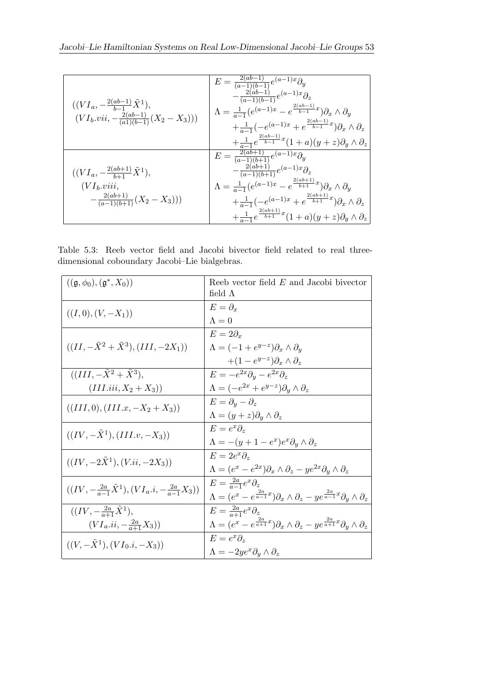| $((VI_a, -\frac{2(ab-1)}{b-1}\tilde{X}^1),$<br>$(VI_b.vii, -\frac{2(ab-1)}{(a1)(b-1)}(X_2-X_3)))$       | $E = \frac{2(ab-1)}{(a-1)(b-1)}e^{(a-1)x}\partial_y$<br>$-\frac{2(ab-1)}{(a-1)(b-1)}e^{(a-1)x}\partial _z$<br>$\Lambda = \frac{1}{a-1} (e^{(a-1)x} - e^{\frac{2(ab-1)}{b-1}x}) \partial_x \wedge \partial_y$<br>$+\frac{1}{a-1}(-e^{(a-1)x}+e^{\frac{2(ab-1)}{b-1}x})\partial _x\wedge \partial _z$<br>$+\frac{1}{a-1}e^{\frac{2(ab-1)}{b-1}x}(1+a)(y+z)\partial _y\wedge \partial _z$ |
|---------------------------------------------------------------------------------------------------------|----------------------------------------------------------------------------------------------------------------------------------------------------------------------------------------------------------------------------------------------------------------------------------------------------------------------------------------------------------------------------------------|
| $((VI_a, -\frac{2(ab+1)}{b+1}\tilde{X}^1),$<br>$(VI_b.viii,$<br>$-\frac{2(ab+1)}{(a-1)(b+1)}(X_2-X_3))$ | $E = \frac{2(ab+1)}{(a-1)(b+1)}e^{(a-1)x}\partial_y$<br>$-\frac{2(ab+1)}{(a-1)(b+1)}e^{(a-1)x}\partial_z$<br>$\Lambda = \frac{1}{a-1} (e^{(a-1)x} - e^{\frac{2(ab+1)}{b+1}x}) \partial_x \wedge \partial_y$<br>$+\frac{1}{a-1}(-e^{(a-1)x}+e^{\frac{2(ab+1)}{b+1}x})\partial_x\wedge \partial_z$<br>$+\frac{1}{a-1}e^{\frac{2(ab+1)}{b+1}x}(1+a)(y+z)\partial _y\wedge \partial _z$    |

<span id="page-20-0"></span>Table 5.3: Reeb vector field and Jacobi bivector field related to real threedimensional coboundary Jacobi–Lie bialgebras.

| $((\mathfrak{g}, \phi_0), (\mathfrak{g}^*, X_0))$                  | Reeb vector field $E$ and Jacobi bivector                                                                              |
|--------------------------------------------------------------------|------------------------------------------------------------------------------------------------------------------------|
|                                                                    | field $\Lambda$                                                                                                        |
| $((I,0),(V,-X_1))$                                                 | $E=\partial_r$                                                                                                         |
|                                                                    | $\Lambda = 0$                                                                                                          |
|                                                                    | $E=2\partial_x$                                                                                                        |
| $((II, -\tilde{X}^2 + \tilde{X}^3), (III, -2X_1))$                 | $\Lambda = (-1 + e^{y-z}) \partial_x \wedge \partial_y$                                                                |
|                                                                    | $+(1-e^{y-z})\partial_x\wedge\partial_z$                                                                               |
| $((III, -\tilde{X}^2 + \tilde{X}^3))$                              | $E = -e^{2x}\partial_y - e^{2x}\partial_z$                                                                             |
| $(III.iii, X_2+X_3))$                                              | $\Lambda = (-e^{2x} + e^{y-z})\partial_y \wedge \partial_z$                                                            |
| $((III,0), (III.x, -X_2+X_3))$                                     | $E = \partial_y - \partial_z$                                                                                          |
|                                                                    | $\Lambda = (y+z)\partial_y \wedge \partial_z$                                                                          |
| $((IV, -X^1), (III, v, -X_3))$                                     | $E=e^x\partial_x$                                                                                                      |
|                                                                    | $\Lambda = -(y+1-e^x)e^x\partial_y\wedge \partial_z$                                                                   |
| $((IV, -2\tilde{X}^1), (V.ii, -2X_3))$                             | $E = 2e^x\partial_x$                                                                                                   |
|                                                                    | $\Lambda = (e^x - e^{2x})\partial_x \wedge \partial_z - ye^{2x}\partial_y \wedge \partial_z$                           |
| $((IV, -\frac{2a}{a-1}\tilde{X}^1), (VI_a.i, -\frac{2a}{a-1}X_3))$ | $E = \frac{2a}{a-1}e^x\partial_z$                                                                                      |
|                                                                    | $\Lambda = (e^x - e^{\frac{2a}{a-1}x})\partial_x \wedge \partial_z - ye^{\frac{2a}{a-1}x}\partial_y \wedge \partial_z$ |
| $((IV, -\frac{2a}{a+1}\tilde{X}^{1}),$                             | $E = \frac{2a}{a+1}e^x\partial_z$                                                                                      |
| $(VI_a.i, -\frac{2a}{a+1}X_3))$                                    | $\Lambda = (e^x - e^{\frac{2a}{a+1}x})\partial_x \wedge \partial_z - ye^{\frac{2a}{a+1}x}\partial_y \wedge \partial_z$ |
| $((V, -X^1), (VI_0.i, -X_3))$                                      | $E=e^{x}\partial_{x}$                                                                                                  |
|                                                                    | $\Lambda = -2ye^x\partial_y \wedge \partial_z$                                                                         |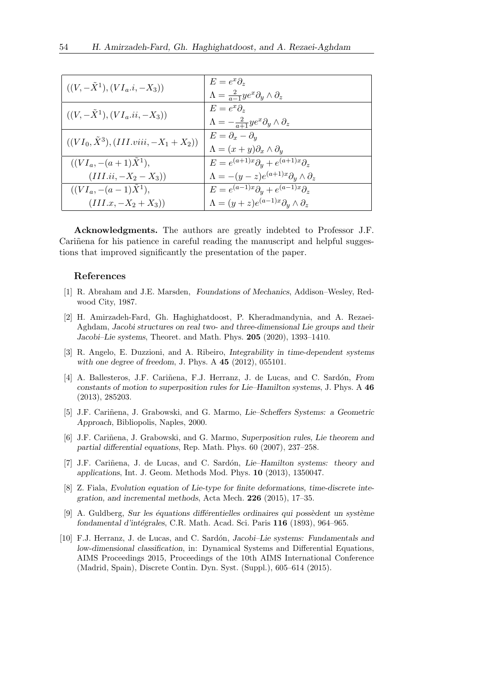| $((V, -X^1), (VI_a.i, -X_3))$                    | $E=e^x\partial_x$<br>$\Lambda = \frac{2}{a-1}ye^{x}\partial_{y}\wedge\partial_{z}$  |
|--------------------------------------------------|-------------------------------------------------------------------------------------|
| $((V, -X^1), (VI_a.ii, -X_3))$                   | $E=e^x\partial_x$<br>$\Lambda = -\frac{2}{a+1}ye^{x}\partial_{y}\wedge\partial_{z}$ |
| $((VI_0, \tilde{X}^3), (III. viii, -X_1 + X_2))$ | $E = \partial_x - \partial_y$<br>$\Lambda = (x+y)\partial_x \wedge \partial_y$      |
| $((VI_a, -(a+1)X^1),$                            | $E = e^{(a+1)x} \partial_y + e^{(a+1)x} \partial_z$                                 |
| $(III.ii, -X_2 - X_3))$                          | $\Lambda = -(y-z)e^{(a+1)x}\partial_y \wedge \partial_z$                            |
| $((VI_a, -(a-1)\tilde{X}^1),$                    | $E = e^{(a-1)x} \partial_y + e^{(a-1)x} \partial_z$                                 |
| $(III.x, -X_2 + X_3))$                           | $\Lambda = (y+z)e^{(a-1)x}\partial_y \wedge \partial_z$                             |

Acknowledgments. The authors are greatly indebted to Professor J.F. Carinena for his patience in careful reading the manuscript and helpful suggestions that improved significantly the presentation of the paper.

#### References

- <span id="page-21-7"></span>[1] R. Abraham and J.E. Marsden, Foundations of Mechanics, Addison–Wesley, Redwood City, 1987.
- <span id="page-21-6"></span>[2] H. Amirzadeh-Fard, Gh. Haghighatdoost, P. Kheradmandynia, and A. Rezaei-Aghdam, Jacobi structures on real two- and three-dimensional Lie groups and their Jacobi–Lie systems, Theoret. and Math. Phys. 205 (2020), 1393–1410.
- <span id="page-21-3"></span>[3] R. Angelo, E. Duzzioni, and A. Ribeiro, Integrability in time-dependent systems with one degree of freedom, J. Phys. A 45 (2012), 055101.
- [4] A. Ballesteros, J.F. Cariñena, F.J. Herranz, J. de Lucas, and C. Sardón, From constants of motion to superposition rules for Lie–Hamilton systems, J. Phys. A 46 (2013), 285203.
- <span id="page-21-0"></span>[5] J.F. Cariñena, J. Grabowski, and G. Marmo, Lie–Scheffers Systems: a Geometric Approach, Bibliopolis, Naples, 2000.
- <span id="page-21-1"></span>[6] J.F. Cariñena, J. Grabowski, and G. Marmo, Superposition rules, Lie theorem and partial differential equations, Rep. Math. Phys. 60 (2007), 237–258.
- <span id="page-21-4"></span>[7] J.F. Cariñena, J. de Lucas, and C. Sardón, Lie–Hamilton systems: theory and applications, Int. J. Geom. Methods Mod. Phys. 10 (2013), 1350047.
- [8] Z. Fiala, Evolution equation of Lie-type for finite deformations, time-discrete integration, and incremental methods, Acta Mech. 226 (2015), 17–35.
- <span id="page-21-2"></span> $[9]$  A. Guldberg, Sur les équations différentielles ordinaires qui possèdent un système fondamental d'intégrales, C.R. Math. Acad. Sci. Paris  $116$  (1893), 964–965.
- <span id="page-21-5"></span>[10] F.J. Herranz, J. de Lucas, and C. Sardón, Jacobi–Lie systems: Fundamentals and low-dimensional classification, in: Dynamical Systems and Differential Equations, AIMS Proceedings 2015, Proceedings of the 10th AIMS International Conference (Madrid, Spain), Discrete Contin. Dyn. Syst. (Suppl.), 605–614 (2015).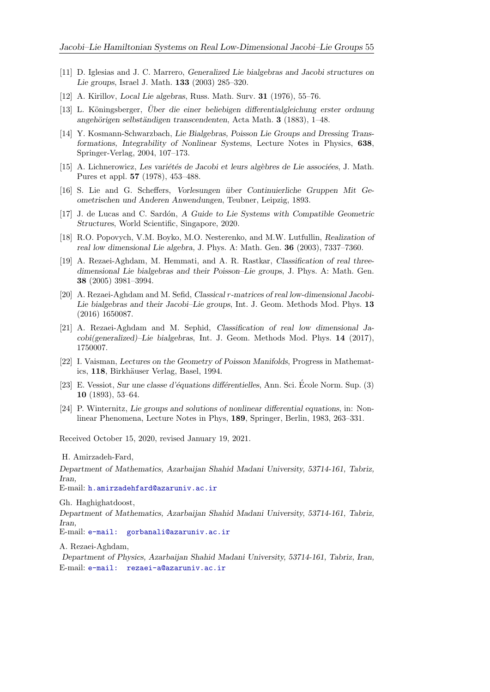- <span id="page-22-5"></span>[11] D. Iglesias and J. C. Marrero, Generalized Lie bialgebras and Jacobi structures on Lie groups, Israel J. Math. 133 (2003) 285–320.
- <span id="page-22-6"></span>[12] A. Kirillov, Local Lie algebras, Russ. Math. Surv. 31 (1976), 55–76.
- <span id="page-22-1"></span>[13] L. Köningsberger, Uber die einer beliebigen differentialgleichung erster ordnung angehörigen selbständigen transcendenten, Acta Math.  $3$  (1883), 1–48.
- [14] Y. Kosmann-Schwarzbach, Lie Bialgebras, Poisson Lie Groups and Dressing Transformations, Integrability of Nonlinear Systems, Lecture Notes in Physics, 638, Springer-Verlag, 2004, 107–173.
- <span id="page-22-7"></span> $[15]$  A. Lichnerowicz, Les variétés de Jacobi et leurs algèbres de Lie associées, J. Math. Pures et appl. 57 (1978), 453–488.
- <span id="page-22-0"></span>[16] S. Lie and G. Scheffers, Vorlesungen ¨uber Continuierliche Gruppen Mit Geometrischen und Anderen Anwendungen, Teubner, Leipzig, 1893.
- <span id="page-22-4"></span>[17] J. de Lucas and C. Sardón, A Guide to Lie Systems with Compatible Geometric Structures, World Scientific, Singapore, 2020.
- <span id="page-22-11"></span>[18] R.O. Popovych, V.M. Boyko, M.O. Nesterenko, and M.W. Lutfullin, Realization of real low dimensional Lie algebra, J. Phys. A: Math. Gen. 36 (2003), 7337–7360.
- [19] A. Rezaei-Aghdam, M. Hemmati, and A. R. Rastkar, Classification of real threedimensional Lie bialgebras and their Poisson–Lie groups, J. Phys. A: Math. Gen. 38 (2005) 3981–3994.
- <span id="page-22-8"></span>[20] A. Rezaei-Aghdam and M. Sefid, Classical r-matrices of real low-dimensional Jacobi-Lie bialgebras and their Jacobi–Lie groups, Int. J. Geom. Methods Mod. Phys. 13 (2016) 1650087.
- <span id="page-22-9"></span>[21] A. Rezaei-Aghdam and M. Sephid, Classification of real low dimensional Jacobi(generalized)–Lie bialgebras, Int. J. Geom. Methods Mod. Phys. 14 (2017), 1750007.
- <span id="page-22-10"></span>[22] I. Vaisman, Lectures on the Geometry of Poisson Manifolds, Progress in Mathematics, 118, Birkhäuser Verlag, Basel, 1994.
- <span id="page-22-2"></span>[23] E. Vessiot, Sur une classe d'équations différentielles, Ann. Sci. École Norm. Sup. (3) 10 (1893), 53–64.
- <span id="page-22-3"></span>[24] P. Winternitz, Lie groups and solutions of nonlinear differential equations, in: Nonlinear Phenomena, Lecture Notes in Phys, 189, Springer, Berlin, 1983, 263–331.

Received October 15, 2020, revised January 19, 2021.

H. Amirzadeh-Fard,

Department of Mathematics, Azarbaijan Shahid Madani University, 53714-161, Tabriz, Iran,

E-mail: [h.amirzadehfard@azaruniv.ac.ir](mailto:h.amirzadehfard@azaruniv.ac.ir)

Gh. Haghighatdoost,

Department of Mathematics, Azarbaijan Shahid Madani University, 53714-161, Tabriz, Iran,

E-mail: [e-mail: gorbanali@azaruniv.ac.ir](mailto:e-mail: gorbanali@azaruniv.ac.ir)

A. Rezaei-Aghdam,

Department of Physics, Azarbaijan Shahid Madani University, 53714-161, Tabriz, Iran, E-mail: [e-mail: rezaei-a@azaruniv.ac.ir](mailto:e-mail: rezaei-a@azaruniv.ac.ir)